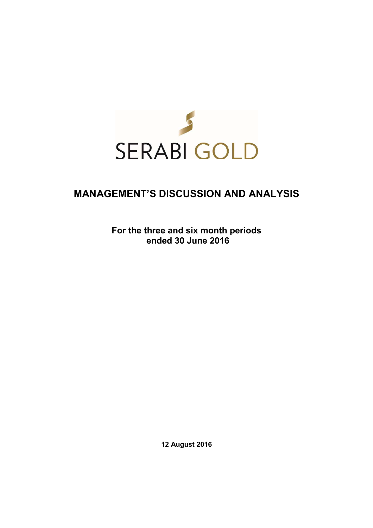

# **MANAGEMENT'S DISCUSSION AND ANALYSIS**

**For the three and six month periods ended 30 June 2016** 

**12 August 2016**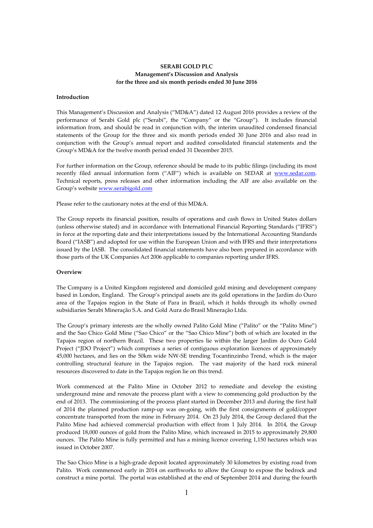# **SERABI GOLD PLC Management's Discussion and Analysis for the three and six month periods ended 30 June 2016**

#### **Introduction**

This Management's Discussion and Analysis ("MD&A") dated 12 August 2016 provides a review of the performance of Serabi Gold plc ("Serabi", the "Company" or the "Group"). It includes financial information from, and should be read in conjunction with, the interim unaudited condensed financial statements of the Group for the three and six month periods ended 30 June 2016 and also read in conjunction with the Group's annual report and audited consolidated financial statements and the Group's MD&A for the twelve month period ended 31 December 2015.

For further information on the Group, reference should be made to its public filings (including its most recently filed annual information form ("AIF") which is available on SEDAR at www.sedar.com. Technical reports, press releases and other information including the AIF are also available on the Group's website www.serabigold.com

Please refer to the cautionary notes at the end of this MD&A.

The Group reports its financial position, results of operations and cash flows in United States dollars (unless otherwise stated) and in accordance with International Financial Reporting Standards ("IFRS") in force at the reporting date and their interpretations issued by the International Accounting Standards Board ("IASB") and adopted for use within the European Union and with IFRS and their interpretations issued by the IASB. The consolidated financial statements have also been prepared in accordance with those parts of the UK Companies Act 2006 applicable to companies reporting under IFRS.

#### **Overview**

The Company is a United Kingdom registered and domiciled gold mining and development company based in London, England. The Group's principal assets are its gold operations in the Jardim do Ouro area of the Tapajos region in the State of Para in Brazil, which it holds through its wholly owned subsidiaries Serabi Mineração S.A. and Gold Aura do Brasil Mineração Ltda.

The Group's primary interests are the wholly owned Palito Gold Mine ("Palito" or the "Palito Mine") and the Sao Chico Gold Mine ("Sao Chico" or the "Sao Chico Mine") both of which are located in the Tapajos region of northern Brazil. These two properties lie within the larger Jardim do Ouro Gold Project ("JDO Project") which comprises a series of contiguous exploration licences of approximately 45,000 hectares, and lies on the 50km wide NW-SE trending Tocantinzinho Trend, which is the major controlling structural feature in the Tapajos region. The vast majority of the hard rock mineral resources discovered to date in the Tapajos region lie on this trend.

Work commenced at the Palito Mine in October 2012 to remediate and develop the existing underground mine and renovate the process plant with a view to commencing gold production by the end of 2013. The commissioning of the process plant started in December 2013 and during the first half of 2014 the planned production ramp-up was on-going, with the first consignments of gold/copper concentrate transported from the mine in February 2014. On 23 July 2014, the Group declared that the Palito Mine had achieved commercial production with effect from 1 July 2014. In 2014, the Group produced 18,000 ounces of gold from the Palito Mine, which increased in 2015 to approximately 29,800 ounces. The Palito Mine is fully permitted and has a mining licence covering 1,150 hectares which was issued in October 2007.

The Sao Chico Mine is a high-grade deposit located approximately 30 kilometres by existing road from Palito. Work commenced early in 2014 on earthworks to allow the Group to expose the bedrock and construct a mine portal. The portal was established at the end of September 2014 and during the fourth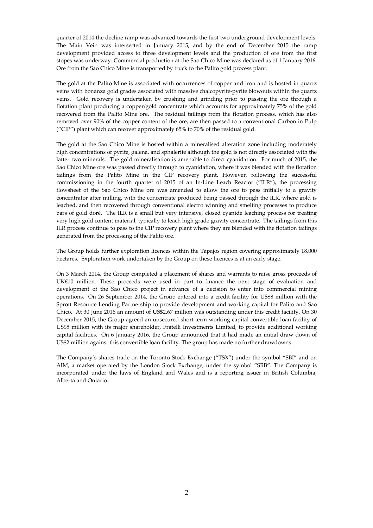quarter of 2014 the decline ramp was advanced towards the first two underground development levels. The Main Vein was intersected in January 2015, and by the end of December 2015 the ramp development provided access to three development levels and the production of ore from the first stopes was underway. Commercial production at the Sao Chico Mine was declared as of 1 January 2016. Ore from the Sao Chico Mine is transported by truck to the Palito gold process plant.

The gold at the Palito Mine is associated with occurrences of copper and iron and is hosted in quartz veins with bonanza gold grades associated with massive chalcopyrite-pyrite blowouts within the quartz veins. Gold recovery is undertaken by crushing and grinding prior to passing the ore through a flotation plant producing a copper/gold concentrate which accounts for approximately 75% of the gold recovered from the Palito Mine ore. The residual tailings from the flotation process, which has also removed over 90% of the copper content of the ore, are then passed to a conventional Carbon in Pulp ("CIP") plant which can recover approximately 65% to 70% of the residual gold.

The gold at the Sao Chico Mine is hosted within a mineralised alteration zone including moderately high concentrations of pyrite, galena, and sphalerite although the gold is not directly associated with the latter two minerals. The gold mineralisation is amenable to direct cyanidation. For much of 2015, the Sao Chico Mine ore was passed directly through to cyanidation, where it was blended with the flotation tailings from the Palito Mine in the CIP recovery plant. However, following the successful commissioning in the fourth quarter of 2015 of an In-Line Leach Reactor ("ILR"), the processing flowsheet of the Sao Chico Mine ore was amended to allow the ore to pass initially to a gravity concentrator after milling, with the concentrate produced being passed through the ILR, where gold is leached, and then recovered through conventional electro winning and smelting processes to produce bars of gold doré. The ILR is a small but very intensive, closed cyanide leaching process for treating very high gold content material, typically to leach high grade gravity concentrate. The tailings from this ILR process continue to pass to the CIP recovery plant where they are blended with the flotation tailings generated from the processing of the Palito ore.

The Group holds further exploration licences within the Tapajos region covering approximately 18,000 hectares. Exploration work undertaken by the Group on these licences is at an early stage.

On 3 March 2014, the Group completed a placement of shares and warrants to raise gross proceeds of UK£10 million. These proceeds were used in part to finance the next stage of evaluation and development of the Sao Chico project in advance of a decision to enter into commercial mining operations. On 26 September 2014, the Group entered into a credit facility for US\$8 million with the Sprott Resource Lending Partnership to provide development and working capital for Palito and Sao Chico. At 30 June 2016 an amount of US\$2.67 million was outstanding under this credit facility. On 30 December 2015, the Group agreed an unsecured short term working capital convertible loan facility of US\$5 million with its major shareholder, Fratelli Investments Limited, to provide additional working capital facilities. On 6 January 2016, the Group announced that it had made an initial draw down of US\$2 million against this convertible loan facility. The group has made no further drawdowns.

The Company's shares trade on the Toronto Stock Exchange ("TSX") under the symbol "SBI" and on AIM, a market operated by the London Stock Exchange, under the symbol "SRB". The Company is incorporated under the laws of England and Wales and is a reporting issuer in British Columbia, Alberta and Ontario.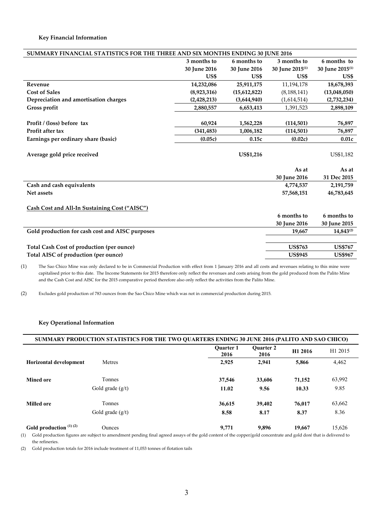# **Key Financial Information**

| SUMMARY FINANCIAL STATISTICS FOR THE THREE AND SIX MONTHS ENDING 30 JUNE 2016 |               |                  |                             |                             |
|-------------------------------------------------------------------------------|---------------|------------------|-----------------------------|-----------------------------|
|                                                                               | 3 months to   | 6 months to      | 3 months to                 | 6 months to                 |
|                                                                               | 30 June 2016  | 30 June 2016     | 30 June 2015 <sup>(1)</sup> | 30 June 2015 <sup>(1)</sup> |
|                                                                               | US\$          | US\$             | US\$                        | US\$                        |
| Revenue                                                                       | 14,232,086    | 25,911,175       | 11,194,178                  | 18,678,393                  |
| <b>Cost of Sales</b>                                                          | (8,923,316)   | (15,612,822)     | (8, 188, 141)               | (13,048,050)                |
| Depreciation and amortisation charges                                         | (2, 428, 213) | (3,644,940)      | (1,614,514)                 | (2,732,234)                 |
| Gross profit                                                                  | 2,880,557     | 6,653,413        | 1,391,523                   | 2,898,109                   |
|                                                                               |               |                  |                             |                             |
| Profit / (loss) before tax                                                    | 60,924        | 1,562,228        | (114,501)                   | 76,897                      |
| Profit after tax                                                              | (341, 483)    | 1,006,182        | (114, 501)                  | 76,897                      |
| Earnings per ordinary share (basic)                                           | (0.05c)       | 0.15c            | (0.02c)                     | 0.01c                       |
| Average gold price received                                                   |               | <b>US\$1,216</b> |                             | US\$1,182                   |
|                                                                               |               |                  | As at                       | As at                       |
|                                                                               |               |                  | 30 June 2016                | 31 Dec 2015                 |
| Cash and cash equivalents                                                     |               |                  | 4,774,537                   | 2,191,759                   |
| Net assets                                                                    |               |                  | 57,568,151                  | 46,783,645                  |
| Cash Cost and All-In Sustaining Cost ("AISC")                                 |               |                  |                             |                             |
|                                                                               |               |                  | 6 months to                 | 6 months to                 |
|                                                                               |               |                  | 30 June 2016                | 30 June 2015                |
| Gold production for cash cost and AISC purposes                               |               |                  | 19,667                      | 14,843(2)                   |
|                                                                               |               |                  |                             |                             |
| Total Cash Cost of production (per ounce)                                     |               |                  | <b>US\$763</b>              | <b>US\$767</b>              |
| Total AISC of production (per ounce)                                          |               |                  | <b>US\$945</b>              | <b>US\$967</b>              |

(1) The Sao Chico Mine was only declared to be in Commercial Production with effect from 1 January 2016 and all costs and revenues relating to this mine were capitalised prior to this date. The Income Statements for 2015 therefore only reflect the revenues and costs arising from the gold produced from the Palito Mine and the Cash Cost and AISC for the 2015 comparative period therefore also only reflect the activities from the Palito Mine.

(2) Excludes gold production of 783 ounces from the Sao Chico Mine which was not in commercial production during 2015.

# **Key Operational Information**

| SUMMARY PRODUCTION STATISTICS FOR THE TWO QUARTERS ENDING 30 JUNE 2016 (PALITO AND SAO CHICO) |                    |                          |                          |         |                     |
|-----------------------------------------------------------------------------------------------|--------------------|--------------------------|--------------------------|---------|---------------------|
|                                                                                               |                    | <b>Ouarter 1</b><br>2016 | <b>Ouarter 2</b><br>2016 | H1 2016 | H <sub>1</sub> 2015 |
| <b>Horizontal development</b>                                                                 | <b>Metres</b>      | 2,925                    | 2.941                    | 5,866   | 4,462               |
| <b>Mined ore</b>                                                                              | Tonnes             | 37,546                   | 33,606                   | 71,152  | 63,992              |
|                                                                                               | Gold grade $(g/t)$ | 11.02                    | 9.56                     | 10.33   | 9.85                |
| <b>Milled ore</b>                                                                             | Tonnes             | 36,615                   | 39,402                   | 76.017  | 63,662              |
|                                                                                               | Gold grade $(g/t)$ | 8.58                     | 8.17                     | 8.37    | 8.36                |
| Gold production $(1)(2)$                                                                      | <b>Ounces</b>      | 9,771                    | 9.896                    | 19,667  | 15,626              |

(1) Gold production figures are subject to amendment pending final agreed assays of the gold content of the copper/gold concentrate and gold doré that is delivered to the refineries.

(2) Gold production totals for 2016 include treatment of 11,053 tonnes of flotation tails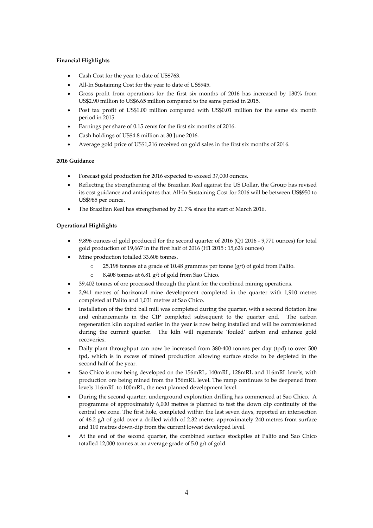# **Financial Highlights**

- Cash Cost for the year to date of US\$763.
- All-In Sustaining Cost for the year to date of US\$945.
- Gross profit from operations for the first six months of 2016 has increased by 130% from US\$2.90 million to US\$6.65 million compared to the same period in 2015.
- Post tax profit of US\$1.00 million compared with US\$0.01 million for the same six month period in 2015.
- Earnings per share of 0.15 cents for the first six months of 2016.
- Cash holdings of US\$4.8 million at 30 June 2016.
- Average gold price of US\$1,216 received on gold sales in the first six months of 2016.

# **2016 Guidance**

- Forecast gold production for 2016 expected to exceed 37,000 ounces.
- Reflecting the strengthening of the Brazilian Real against the US Dollar, the Group has revised its cost guidance and anticipates that All-In Sustaining Cost for 2016 will be between US\$950 to US\$985 per ounce.
- The Brazilian Real has strengthened by 21.7% since the start of March 2016.

# **Operational Highlights**

- 9,896 ounces of gold produced for the second quarter of 2016 (Q1 2016 9,771 ounces) for total gold production of 19,667 in the first half of 2016 (H1 2015 : 15,626 ounces)
- Mine production totalled 33,606 tonnes.
	- o 25,198 tonnes at a grade of 10.48 grammes per tonne (g/t) of gold from Palito.
	- o 8,408 tonnes at 6.81 g/t of gold from Sao Chico.
- 39,402 tonnes of ore processed through the plant for the combined mining operations.
- 2,941 metres of horizontal mine development completed in the quarter with 1,910 metres completed at Palito and 1,031 metres at Sao Chico.
- Installation of the third ball mill was completed during the quarter, with a second flotation line and enhancements in the CIP completed subsequent to the quarter end. The carbon regeneration kiln acquired earlier in the year is now being installed and will be commissioned during the current quarter. The kiln will regenerate 'fouled' carbon and enhance gold recoveries.
- Daily plant throughput can now be increased from 380-400 tonnes per day (tpd) to over 500 tpd, which is in excess of mined production allowing surface stocks to be depleted in the second half of the year.
- Sao Chico is now being developed on the 156mRL, 140mRL, 128mRL and 116mRL levels, with production ore being mined from the 156mRL level. The ramp continues to be deepened from levels 116mRL to 100mRL, the next planned development level.
- During the second quarter, underground exploration drilling has commenced at Sao Chico. A programme of approximately 6,000 metres is planned to test the down dip continuity of the central ore zone. The first hole, completed within the last seven days, reported an intersection of 46.2 g/t of gold over a drilled width of 2.32 metre, approximately 240 metres from surface and 100 metres down-dip from the current lowest developed level.
- At the end of the second quarter, the combined surface stockpiles at Palito and Sao Chico totalled 12,000 tonnes at an average grade of 5.0 g/t of gold.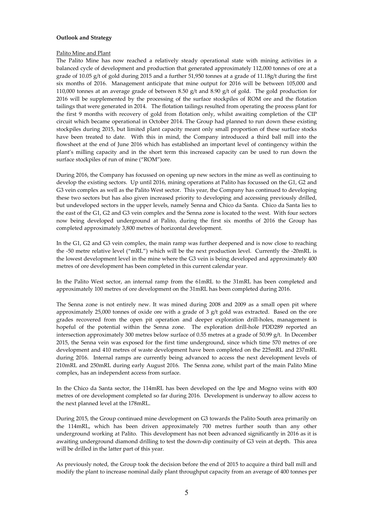### **Outlook and Strategy**

#### Palito Mine and Plant

The Palito Mine has now reached a relatively steady operational state with mining activities in a balanced cycle of development and production that generated approximately 112,000 tonnes of ore at a grade of 10.05  $g/t$  of gold during 2015 and a further 51,950 tonnes at a grade of 11.18g/t during the first six months of 2016. Management anticipate that mine output for 2016 will be between 105,000 and 110,000 tonnes at an average grade of between 8.50  $g/t$  and 8.90  $g/t$  of gold. The gold production for 2016 will be supplemented by the processing of the surface stockpiles of ROM ore and the flotation tailings that were generated in 2014. The flotation tailings resulted from operating the process plant for the first 9 months with recovery of gold from flotation only, whilst awaiting completion of the CIP circuit which became operational in October 2014. The Group had planned to run down these existing stockpiles during 2015, but limited plant capacity meant only small proportion of these surface stocks have been treated to date. With this in mind, the Company introduced a third ball mill into the flowsheet at the end of June 2016 which has established an important level of contingency within the plant's milling capacity and in the short term this increased capacity can be used to run down the surface stockpiles of run of mine ("ROM")ore.

During 2016, the Company has focussed on opening up new sectors in the mine as well as continuing to develop the existing sectors. Up until 2016, mining operations at Palito has focussed on the G1, G2 and G3 vein complex as well as the Palito West sector. This year, the Company has continued to developing these two sectors but has also given increased priority to developing and accessing previously drilled, but undeveloped sectors in the upper levels, namely Senna and Chico da Santa. Chico da Santa lies to the east of the G1, G2 and G3 vein complex and the Senna zone is located to the west. With four sectors now being developed underground at Palito, during the first six months of 2016 the Group has completed approximately 3,800 metres of horizontal development.

In the G1, G2 and G3 vein complex, the main ramp was further deepened and is now close to reaching the -50 metre relative level ("mRL") which will be the next production level. Currently the -20mRL is the lowest development level in the mine where the G3 vein is being developed and approximately 400 metres of ore development has been completed in this current calendar year.

In the Palito West sector, an internal ramp from the 61mRL to the 31mRL has been completed and approximately 100 metres of ore development on the 31mRL has been completed during 2016.

The Senna zone is not entirely new. It was mined during 2008 and 2009 as a small open pit where approximately 25,000 tonnes of oxide ore with a grade of 3 g/t gold was extracted. Based on the ore grades recovered from the open pit operation and deeper exploration drill-holes, management is hopeful of the potential within the Senna zone. The exploration drill-hole PDD289 reported an intersection approximately 300 metres below surface of 0.55 metres at a grade of 50.99 g/t. In December 2015, the Senna vein was exposed for the first time underground, since which time 570 metres of ore development and 410 metres of waste development have been completed on the 225mRL and 237mRL during 2016. Internal ramps are currently being advanced to access the next development levels of 210mRL and 250mRL during early August 2016. The Senna zone, whilst part of the main Palito Mine complex, has an independent access from surface.

In the Chico da Santa sector, the 114mRL has been developed on the Ipe and Mogno veins with 400 metres of ore development completed so far during 2016. Development is underway to allow access to the next planned level at the 178mRL.

During 2015, the Group continued mine development on G3 towards the Palito South area primarily on the 114mRL, which has been driven approximately 700 metres further south than any other underground working at Palito. This development has not been advanced significantly in 2016 as it is awaiting underground diamond drilling to test the down-dip continuity of G3 vein at depth. This area will be drilled in the latter part of this year.

As previously noted, the Group took the decision before the end of 2015 to acquire a third ball mill and modify the plant to increase nominal daily plant throughput capacity from an average of 400 tonnes per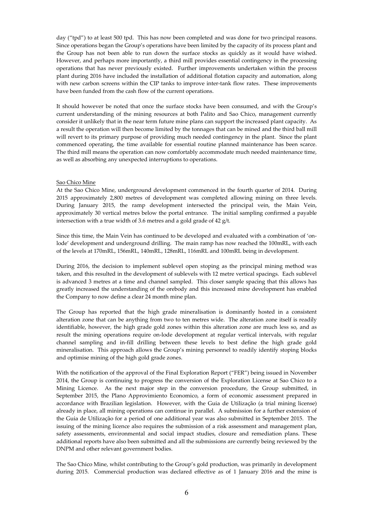day ("tpd") to at least 500 tpd. This has now been completed and was done for two principal reasons. Since operations began the Group's operations have been limited by the capacity of its process plant and the Group has not been able to run down the surface stocks as quickly as it would have wished. However, and perhaps more importantly, a third mill provides essential contingency in the processing operations that has never previously existed. Further improvements undertaken within the process plant during 2016 have included the installation of additional flotation capacity and automation, along with new carbon screens within the CIP tanks to improve inter-tank flow rates. These improvements have been funded from the cash flow of the current operations.

It should however be noted that once the surface stocks have been consumed, and with the Group's current understanding of the mining resources at both Palito and Sao Chico, management currently consider it unlikely that in the near term future mine plans can support the increased plant capacity. As a result the operation will then become limited by the tonnages that can be mined and the third ball mill will revert to its primary purpose of providing much needed contingency in the plant. Since the plant commenced operating, the time available for essential routine planned maintenance has been scarce. The third mill means the operation can now comfortably accommodate much needed maintenance time, as well as absorbing any unexpected interruptions to operations.

#### Sao Chico Mine

At the Sao Chico Mine, underground development commenced in the fourth quarter of 2014. During 2015 approximately 2,800 metres of development was completed allowing mining on three levels. During January 2015, the ramp development intersected the principal vein, the Main Vein, approximately 30 vertical metres below the portal entrance. The initial sampling confirmed a payable intersection with a true width of 3.6 metres and a gold grade of 42 g/t.

Since this time, the Main Vein has continued to be developed and evaluated with a combination of 'onlode' development and underground drilling. The main ramp has now reached the 100mRL, with each of the levels at 170mRL, 156mRL, 140mRL, 128mRL, 116mRL and 100mRL being in development.

During 2016, the decision to implement sublevel open stoping as the principal mining method was taken, and this resulted in the development of sublevels with 12 metre vertical spacings. Each sublevel is advanced 3 metres at a time and channel sampled. This closer sample spacing that this allows has greatly increased the understanding of the orebody and this increased mine development has enabled the Company to now define a clear 24 month mine plan.

The Group has reported that the high grade mineralisation is dominantly hosted in a consistent alteration zone that can be anything from two to ten metres wide. The alteration zone itself is readily identifiable, however, the high grade gold zones within this alteration zone are much less so, and as result the mining operations require on-lode development at regular vertical intervals, with regular channel sampling and in-fill drilling between these levels to best define the high grade gold mineralisation. This approach allows the Group's mining personnel to readily identify stoping blocks and optimise mining of the high gold grade zones.

With the notification of the approval of the Final Exploration Report ("FER") being issued in November 2014, the Group is continuing to progress the conversion of the Exploration License at Sao Chico to a Mining Licence. As the next major step in the conversion procedure, the Group submitted, in September 2015, the Plano Approvimiento Economico, a form of economic assessment prepared in accordance with Brazilian legislation. However, with the Guia de Utilização (a trial mining license) already in place, all mining operations can continue in parallel. A submission for a further extension of the Guia de Utilização for a period of one additional year was also submitted in September 2015. The issuing of the mining licence also requires the submission of a risk assessment and management plan, safety assessments, environmental and social impact studies, closure and remediation plans. These additional reports have also been submitted and all the submissions are currently being reviewed by the DNPM and other relevant government bodies.

The Sao Chico Mine, whilst contributing to the Group's gold production, was primarily in development during 2015. Commercial production was declared effective as of 1 January 2016 and the mine is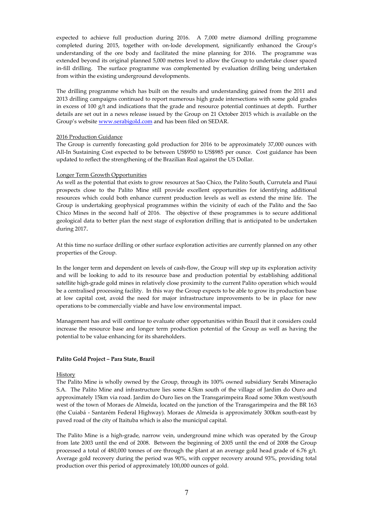expected to achieve full production during 2016. A 7,000 metre diamond drilling programme completed during 2015, together with on-lode development, significantly enhanced the Group's understanding of the ore body and facilitated the mine planning for 2016. The programme was extended beyond its original planned 5,000 metres level to allow the Group to undertake closer spaced in-fill drilling. The surface programme was complemented by evaluation drilling being undertaken from within the existing underground developments.

The drilling programme which has built on the results and understanding gained from the 2011 and 2013 drilling campaigns continued to report numerous high grade intersections with some gold grades in excess of 100 g/t and indications that the grade and resource potential continues at depth. Further details are set out in a news release issued by the Group on 21 October 2015 which is available on the Group's website www.serabigold.com and has been filed on SEDAR.

## 2016 Production Guidance

The Group is currently forecasting gold production for 2016 to be approximately 37,000 ounces with All-In Sustaining Cost expected to be between US\$950 to US\$985 per ounce. Cost guidance has been updated to reflect the strengthening of the Brazilian Real against the US Dollar.

# Longer Term Growth Opportunities

As well as the potential that exists to grow resources at Sao Chico, the Palito South, Currutela and Piaui prospects close to the Palito Mine still provide excellent opportunities for identifying additional resources which could both enhance current production levels as well as extend the mine life. The Group is undertaking geophysical programmes within the vicinity of each of the Palito and the Sao Chico Mines in the second half of 2016. The objective of these programmes is to secure additional geological data to better plan the next stage of exploration drilling that is anticipated to be undertaken during 2017.

At this time no surface drilling or other surface exploration activities are currently planned on any other properties of the Group.

In the longer term and dependent on levels of cash-flow, the Group will step up its exploration activity and will be looking to add to its resource base and production potential by establishing additional satellite high-grade gold mines in relatively close proximity to the current Palito operation which would be a centralised processing facility. In this way the Group expects to be able to grow its production base at low capital cost, avoid the need for major infrastructure improvements to be in place for new operations to be commercially viable and have low environmental impact.

Management has and will continue to evaluate other opportunities within Brazil that it considers could increase the resource base and longer term production potential of the Group as well as having the potential to be value enhancing for its shareholders.

## **Palito Gold Project – Para State, Brazil**

# History

The Palito Mine is wholly owned by the Group, through its 100% owned subsidiary Serabi Mineração S.A. The Palito Mine and infrastructure lies some 4.5km south of the village of Jardim do Ouro and approximately 15km via road. Jardim do Ouro lies on the Transgarimpeira Road some 30km west/south west of the town of Moraes de Almeida, located on the junction of the Transgarimpeira and the BR 163 (the Cuiabá - Santarém Federal Highway). Moraes de Almeida is approximately 300km south-east by paved road of the city of Itaituba which is also the municipal capital.

The Palito Mine is a high-grade, narrow vein, underground mine which was operated by the Group from late 2003 until the end of 2008. Between the beginning of 2005 until the end of 2008 the Group processed a total of 480,000 tonnes of ore through the plant at an average gold head grade of 6.76 g/t. Average gold recovery during the period was 90%, with copper recovery around 93%, providing total production over this period of approximately 100,000 ounces of gold.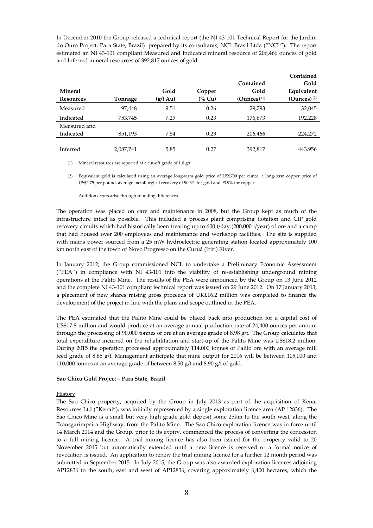In December 2010 the Group released a technical report (the NI 43-101 Technical Report for the Jardim do Ouro Project, Para State, Brazil) prepared by its consultants, NCL Brasil Ltda ("NCL"). The report estimated an NI 43-101 compliant Measured and Indicated mineral resource of 206,466 ounces of gold and Inferred mineral resources of 392,817 ounces of gold.

|                  |           |                    |                   |                           | Contained      |
|------------------|-----------|--------------------|-------------------|---------------------------|----------------|
|                  |           |                    |                   | Contained                 | Gold           |
| <b>Mineral</b>   |           | Gold               | Copper            | Gold                      | Equivalent     |
| <b>Resources</b> | Tonnage   | $(g/t \text{ Au})$ | $\frac{6}{6}$ Cu) | $(Qunces)$ <sup>(1)</sup> | $(Qunces)$ (2) |
| Measured         | 97,448    | 9.51               | 0.26              | 29.793                    | 32,045         |
| Indicated        | 753,745   | 7.29               | 0.23              | 176,673                   | 192,228        |
| Measured and     |           |                    |                   |                           |                |
| Indicated        | 851,193   | 7.54               | 0.23              | 206,466                   | 224,272        |
|                  |           |                    |                   |                           |                |
| Inferred         | 2,087,741 | 5.85               | 0.27              | 392,817                   | 443,956        |

(1) Mineral resources are reported at a cut-off grade of 1.0 g/t.

(2) Equivalent gold is calculated using an average long-term gold price of US\$700 per ounce, a long-term copper price of US\$2.75 per pound, average metallurgical recovery of 90.3% for gold and 93.9% for copper.

Addition errors arise through rounding differences.

The operation was placed on care and maintenance in 2008, but the Group kept as much of the infrastructure intact as possible. This included a process plant comprising flotation and CIP gold recovery circuits which had historically been treating up to 600 t/day (200,000 t/year) of ore and a camp that had housed over 200 employees and maintenance and workshop facilities. The site is supplied with mains power sourced from a 25 mW hydroelectric generating station located approximately 100 km north east of the town of Novo Progresso on the Curuá (Iriri) River.

In January 2012, the Group commissioned NCL to undertake a Preliminary Economic Assessment ("PEA") in compliance with NI 43-101 into the viability of re-establishing underground mining operations at the Palito Mine. The results of the PEA were announced by the Group on 13 June 2012 and the complete NI 43-101 compliant technical report was issued on 29 June 2012. On 17 January 2013, a placement of new shares raising gross proceeds of UK£16.2 million was completed to finance the development of the project in line with the plans and scope outlined in the PEA.

The PEA estimated that the Palito Mine could be placed back into production for a capital cost of US\$17.8 million and would produce at an average annual production rate of 24,400 ounces per annum through the processing of 90,000 tonnes of ore at an average grade of 8.98 g/t. The Group calculates that total expenditure incurred on the rehabilitation and start-up of the Palito Mine was US\$18.2 million. During 2015 the operation processed approximately 114,000 tonnes of Palito ore with an average mill feed grade of 8.65 g/t. Management anticipate that mine output for 2016 will be between 105,000 and 110,000 tonnes at an average grade of between 8.50 g/t and 8.90 g/t of gold.

## **Sao Chico Gold Project – Para State, Brazil**

**History** 

The Sao Chico property, acquired by the Group in July 2013 as part of the acquisition of Kenai Resources Ltd ("Kenai"), was initially represented by a single exploration licence area (AP 12836). The Sao Chico Mine is a small but very high grade gold deposit some 25km to the south west, along the Transgarimpeira Highway, from the Palito Mine. The Sao Chico exploration licence was in force until 14 March 2014 and the Group, prior to its expiry, commenced the process of converting the concession to a full mining licence. A trial mining licence has also been issued for the property valid to 20 November 2015 but automatically extended until a new licence is received or a formal notice of revocation is issued. An application to renew the trial mining licence for a further 12 month period was submitted in September 2015. In July 2015, the Group was also awarded exploration licences adjoining AP12836 to the south, east and west of AP12836, covering approximately 6,400 hectares, which the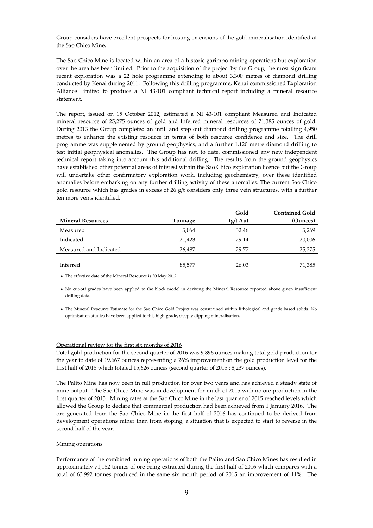Group considers have excellent prospects for hosting extensions of the gold mineralisation identified at the Sao Chico Mine.

The Sao Chico Mine is located within an area of a historic garimpo mining operations but exploration over the area has been limited. Prior to the acquisition of the project by the Group, the most significant recent exploration was a 22 hole programme extending to about 3,300 metres of diamond drilling conducted by Kenai during 2011. Following this drilling programme, Kenai commissioned Exploration Alliance Limited to produce a NI 43-101 compliant technical report including a mineral resource statement.

The report, issued on 15 October 2012, estimated a NI 43-101 compliant Measured and Indicated mineral resource of 25,275 ounces of gold and Inferred mineral resources of 71,385 ounces of gold. During 2013 the Group completed an infill and step out diamond drilling programme totalling 4,950 metres to enhance the existing resource in terms of both resource confidence and size. The drill programme was supplemented by ground geophysics, and a further 1,120 metre diamond drilling to test initial geophysical anomalies. The Group has not, to date, commissioned any new independent technical report taking into account this additional drilling. The results from the ground geophysics have established other potential areas of interest within the Sao Chico exploration licence but the Group will undertake other confirmatory exploration work, including geochemistry, over these identified anomalies before embarking on any further drilling activity of these anomalies. The current Sao Chico gold resource which has grades in excess of 26 g/t considers only three vein structures, with a further ten more veins identified.

| <b>Contained Gold</b> |
|-----------------------|
| (Ounces)              |
| 5,269                 |
| 20,006                |
| 25,275                |
|                       |
| 71,385                |
|                       |

• The effective date of the Mineral Resource is 30 May 2012.

• No cut-off grades have been applied to the block model in deriving the Mineral Resource reported above given insufficient drilling data.

• The Mineral Resource Estimate for the Sao Chico Gold Project was constrained within lithological and grade based solids. No optimisation studies have been applied to this high-grade, steeply dipping mineralisation.

## Operational review for the first six months of 2016

Total gold production for the second quarter of 2016 was 9,896 ounces making total gold production for the year to date of 19,667 ounces representing a 26% improvement on the gold production level for the first half of 2015 which totaled 15,626 ounces (second quarter of 2015 : 8,237 ounces).

The Palito Mine has now been in full production for over two years and has achieved a steady state of mine output. The Sao Chico Mine was in development for much of 2015 with no ore production in the first quarter of 2015. Mining rates at the Sao Chico Mine in the last quarter of 2015 reached levels which allowed the Group to declare that commercial production had been achieved from 1 January 2016. The ore generated from the Sao Chico Mine in the first half of 2016 has continued to be derived from development operations rather than from stoping, a situation that is expected to start to reverse in the second half of the year.

# Mining operations

Performance of the combined mining operations of both the Palito and Sao Chico Mines has resulted in approximately 71,152 tonnes of ore being extracted during the first half of 2016 which compares with a total of 63,992 tonnes produced in the same six month period of 2015 an improvement of 11%. The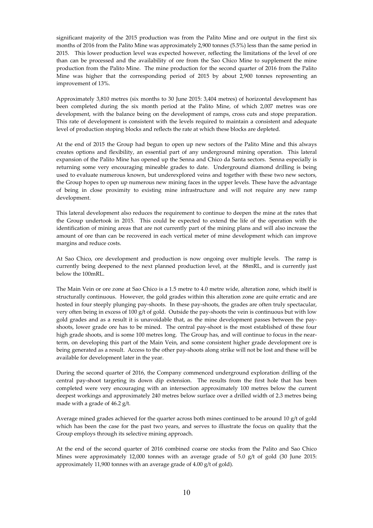significant majority of the 2015 production was from the Palito Mine and ore output in the first six months of 2016 from the Palito Mine was approximately 2,900 tonnes (5.5%) less than the same period in 2015. This lower production level was expected however, reflecting the limitations of the level of ore than can be processed and the availability of ore from the Sao Chico Mine to supplement the mine production from the Palito Mine. The mine production for the second quarter of 2016 from the Palito Mine was higher that the corresponding period of 2015 by about 2,900 tonnes representing an improvement of 13%.

Approximately 3,810 metres (six months to 30 June 2015: 3,404 metres) of horizontal development has been completed during the six month period at the Palito Mine, of which 2,007 metres was ore development, with the balance being on the development of ramps, cross cuts and stope preparation. This rate of development is consistent with the levels required to maintain a consistent and adequate level of production stoping blocks and reflects the rate at which these blocks are depleted.

At the end of 2015 the Group had begun to open up new sectors of the Palito Mine and this always creates options and flexibility, an essential part of any underground mining operation. This lateral expansion of the Palito Mine has opened up the Senna and Chico da Santa sectors. Senna especially is returning some very encouraging mineable grades to date. Underground diamond drilling is being used to evaluate numerous known, but underexplored veins and together with these two new sectors, the Group hopes to open up numerous new mining faces in the upper levels. These have the advantage of being in close proximity to existing mine infrastructure and will not require any new ramp development.

This lateral development also reduces the requirement to continue to deepen the mine at the rates that the Group undertook in 2015. This could be expected to extend the life of the operation with the identification of mining areas that are not currently part of the mining plans and will also increase the amount of ore than can be recovered in each vertical meter of mine development which can improve margins and reduce costs.

At Sao Chico, ore development and production is now ongoing over multiple levels. The ramp is currently being deepened to the next planned production level, at the 88mRL, and is currently just below the 100mRL.

The Main Vein or ore zone at Sao Chico is a 1.5 metre to 4.0 metre wide, alteration zone, which itself is structurally continuous. However, the gold grades within this alteration zone are quite erratic and are hosted in four steeply plunging pay-shoots. In these pay-shoots, the grades are often truly spectacular, very often being in excess of 100 g/t of gold. Outside the pay-shoots the vein is continuous but with low gold grades and as a result it is unavoidable that, as the mine development passes between the payshoots, lower grade ore has to be mined. The central pay-shoot is the most established of these four high grade shoots, and is some 100 metres long. The Group has, and will continue to focus in the nearterm, on developing this part of the Main Vein, and some consistent higher grade development ore is being generated as a result. Access to the other pay-shoots along strike will not be lost and these will be available for development later in the year.

During the second quarter of 2016, the Company commenced underground exploration drilling of the central pay-shoot targeting its down dip extension. The results from the first hole that has been completed were very encouraging with an intersection approximately 100 metres below the current deepest workings and approximately 240 metres below surface over a drilled width of 2.3 metres being made with a grade of 46.2 g/t.

Average mined grades achieved for the quarter across both mines continued to be around 10 g/t of gold which has been the case for the past two years, and serves to illustrate the focus on quality that the Group employs through its selective mining approach.

At the end of the second quarter of 2016 combined coarse ore stocks from the Palito and Sao Chico Mines were approximately 12,000 tonnes with an average grade of 5.0  $g/t$  of gold (30 June 2015: approximately 11,900 tonnes with an average grade of 4.00 g/t of gold).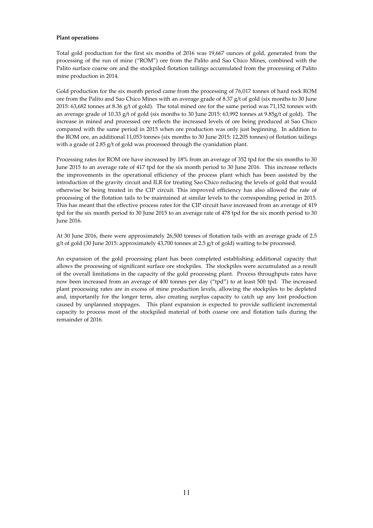### **Plant operations**

Total gold production for the first six months of 2016 was 19,667 ounces of gold, generated from the processing of the run of mine ("ROM") ore from the Palito and Sao Chico Mines, combined with the Palito surface coarse ore and the stockpiled flotation tailings accumulated from the processing of Palito mine production in 2014.

Gold production for the six month period came from the processing of 76,017 tonnes of hard rock ROM ore from the Palito and Sao Chico Mines with an average grade of 8.37 g/t of gold (six months to 30 June 2015: 63,682 tonnes at 8.36 g/t of gold). The total mined ore for the same period was 71,152 tonnes with an average grade of 10.33 g/t of gold (six months to 30 June 2015: 63,992 tonnes at 9.85g/t of gold). The increase in mined and processed ore reflects the increased levels of ore being produced at Sao Chico compared with the same period in 2015 when ore production was only just beginning. In addition to the ROM ore, an additional 11,053 tonnes (six months to 30 June 2015: 12,205 tonnes) of flotation tailings with a grade of 2.85 g/t of gold was processed through the cyanidation plant.

Processing rates for ROM ore have increased by 18% from an average of 352 tpd for the six months to 30 June 2015 to an average rate of 417 tpd for the six month period to 30 June 2016. This increase reflects the improvements in the operational efficiency of the process plant which has been assisted by the introduction of the gravity circuit and ILR for treating Sao Chico reducing the levels of gold that would otherwise be being treated in the CIP circuit. This improved efficiency has also allowed the rate of processing of the flotation tails to be maintained at similar levels to the corresponding period in 2015. This has meant that the effective process rates for the CIP circuit have increased from an average of 419 tpd for the six month period to 30 June 2015 to an average rate of 478 tpd for the six month period to 30 June 2016.

At 30 June 2016, there were approximately 26,500 tonnes of flotation tails with an average grade of 2.5 g/t of gold (30 June 2015: approximately 43,700 tonnes at 2.5 g/t of gold) waiting to be processed.

An expansion of the gold processing plant has been completed establishing additional capacity that allows the processing of significant surface ore stockpiles. The stockpiles were accumulated as a result of the overall limitations in the capacity of the gold processing plant. Process throughputs rates have now been increased from an average of 400 tonnes per day ("tpd") to at least 500 tpd. The increased plant processing rates are in excess of mine production levels, allowing the stockpiles to be depleted and, importantly for the longer term, also creating surplus capacity to catch up any lost production caused by unplanned stoppages. This plant expansion is expected to provide sufficient incremental capacity to process most of the stockpiled material of both coarse ore and flotation tails during the remainder of 2016.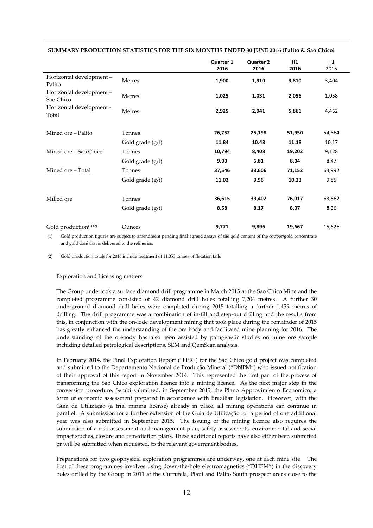|                                               |                    | Quarter 1<br>2016 | <b>Quarter 2</b><br>2016 | H1<br>2016 | H1<br>2015 |
|-----------------------------------------------|--------------------|-------------------|--------------------------|------------|------------|
| Horizontal development-<br>Palito             | Metres             | 1,900             | 1,910                    | 3,810      | 3,404      |
| Horizontal development -<br>Sao Chico         | Metres             | 1,025             | 1,031                    | 2,056      | 1,058      |
| Horizontal development -<br>Total             | Metres             | 2,925             | 2,941                    | 5,866      | 4,462      |
| Mined ore - Palito                            | Tonnes             | 26,752            | 25,198                   | 51,950     | 54,864     |
|                                               | Gold grade (g/t)   | 11.84             | 10.48                    | 11.18      | 10.17      |
| Mined ore – Sao Chico                         | Tonnes             | 10,794            | 8,408                    | 19,202     | 9,128      |
|                                               | Gold grade (g/t)   | 9.00              | 6.81                     | 8.04       | 8.47       |
| Mined ore - Total                             | Tonnes             | 37,546            | 33,606                   | 71,152     | 63,992     |
|                                               | Gold grade $(g/t)$ | 11.02             | 9.56                     | 10.33      | 9.85       |
| Milled ore                                    | Tonnes             | 36,615            | 39,402                   | 76,017     | 63,662     |
|                                               | Gold grade (g/t)   | 8.58              | 8.17                     | 8.37       | 8.36       |
| Gold production <sup>(1)</sup> <sup>(2)</sup> | Ounces             | 9,771             | 9,896                    | 19,667     | 15,626     |

 **SUMMARY PRODUCTION STATISTICS FOR THE SIX MONTHS ENDED 30 JUNE 2016 (Palito & Sao Chico)** 

(1) Gold production figures are subject to amendment pending final agreed assays of the gold content of the copper/gold concentrate and gold doré that is delivered to the refineries.

(2) Gold production totals for 2016 include treatment of 11.053 tonnes of flotation tails

#### Exploration and Licensing matters

The Group undertook a surface diamond drill programme in March 2015 at the Sao Chico Mine and the completed programme consisted of 42 diamond drill holes totalling 7,204 metres. A further 30 underground diamond drill holes were completed during 2015 totalling a further 1,459 metres of drilling. The drill programme was a combination of in-fill and step-out drilling and the results from this, in conjunction with the on-lode development mining that took place during the remainder of 2015 has greatly enhanced the understanding of the ore body and facilitated mine planning for 2016. The understanding of the orebody has also been assisted by paragenetic studies on mine ore sample including detailed petrological descriptions, SEM and QemScan analysis.

In February 2014, the Final Exploration Report ("FER") for the Sao Chico gold project was completed and submitted to the Departamento Nacional de Produção Mineral ("DNPM") who issued notification of their approval of this report in November 2014. This represented the first part of the process of transforming the Sao Chico exploration licence into a mining licence. As the next major step in the conversion procedure, Serabi submitted, in September 2015, the Plano Approvimiento Economico, a form of economic assessment prepared in accordance with Brazilian legislation. However, with the Guia de Utilização (a trial mining license) already in place, all mining operations can continue in parallel. A submission for a further extension of the Guia de Utilização for a period of one additional year was also submitted in September 2015. The issuing of the mining licence also requires the submission of a risk assessment and management plan, safety assessments, environmental and social impact studies, closure and remediation plans. These additional reports have also either been submitted or will be submitted when requested, to the relevant government bodies.

Preparations for two geophysical exploration programmes are underway, one at each mine site. The first of these programmes involves using down-the-hole electromagnetics ("DHEM") in the discovery holes drilled by the Group in 2011 at the Currutela, Piaui and Palito South prospect areas close to the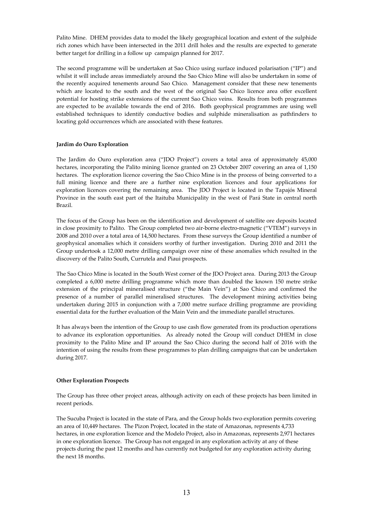Palito Mine. DHEM provides data to model the likely geographical location and extent of the sulphide rich zones which have been intersected in the 2011 drill holes and the results are expected to generate better target for drilling in a follow up campaign planned for 2017.

The second programme will be undertaken at Sao Chico using surface induced polarisation ("IP") and whilst it will include areas immediately around the Sao Chico Mine will also be undertaken in some of the recently acquired tenements around Sao Chico. Management consider that these new tenements which are located to the south and the west of the original Sao Chico licence area offer excellent potential for hosting strike extensions of the current Sao Chico veins. Results from both programmes are expected to be available towards the end of 2016. Both geophysical programmes are using well established techniques to identify conductive bodies and sulphide mineralisation as pathfinders to locating gold occurrences which are associated with these features.

# **Jardim do Ouro Exploration**

The Jardim do Ouro exploration area ("JDO Project") covers a total area of approximately 45,000 hectares, incorporating the Palito mining licence granted on 23 October 2007 covering an area of 1,150 hectares. The exploration licence covering the Sao Chico Mine is in the process of being converted to a full mining licence and there are a further nine exploration licences and four applications for exploration licences covering the remaining area. The JDO Project is located in the Tapajós Mineral Province in the south east part of the Itaituba Municipality in the west of Pará State in central north Brazil.

The focus of the Group has been on the identification and development of satellite ore deposits located in close proximity to Palito. The Group completed two air-borne electro-magnetic ("VTEM") surveys in 2008 and 2010 over a total area of 14,500 hectares. From these surveys the Group identified a number of geophysical anomalies which it considers worthy of further investigation. During 2010 and 2011 the Group undertook a 12,000 metre drilling campaign over nine of these anomalies which resulted in the discovery of the Palito South, Currutela and Piaui prospects.

The Sao Chico Mine is located in the South West corner of the JDO Project area. During 2013 the Group completed a 6,000 metre drilling programme which more than doubled the known 150 metre strike extension of the principal mineralised structure ("the Main Vein") at Sao Chico and confirmed the presence of a number of parallel mineralised structures. The development mining activities being undertaken during 2015 in conjunction with a 7,000 metre surface drilling programme are providing essential data for the further evaluation of the Main Vein and the immediate parallel structures.

It has always been the intention of the Group to use cash flow generated from its production operations to advance its exploration opportunities. As already noted the Group will conduct DHEM in close proximity to the Palito Mine and IP around the Sao Chico during the second half of 2016 with the intention of using the results from these programmes to plan drilling campaigns that can be undertaken during 2017.

## **Other Exploration Prospects**

The Group has three other project areas, although activity on each of these projects has been limited in recent periods.

The Sucuba Project is located in the state of Para, and the Group holds two exploration permits covering an area of 10,449 hectares. The Pizon Project, located in the state of Amazonas, represents 4,733 hectares, in one exploration licence and the Modelo Project, also in Amazonas, represents 2,971 hectares in one exploration licence. The Group has not engaged in any exploration activity at any of these projects during the past 12 months and has currently not budgeted for any exploration activity during the next 18 months.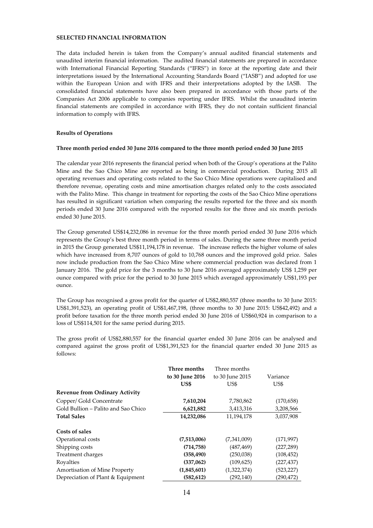# **SELECTED FINANCIAL INFORMATION**

The data included herein is taken from the Company's annual audited financial statements and unaudited interim financial information. The audited financial statements are prepared in accordance with International Financial Reporting Standards ("IFRS") in force at the reporting date and their interpretations issued by the International Accounting Standards Board ("IASB") and adopted for use within the European Union and with IFRS and their interpretations adopted by the IASB. The consolidated financial statements have also been prepared in accordance with those parts of the Companies Act 2006 applicable to companies reporting under IFRS. Whilst the unaudited interim financial statements are compiled in accordance with IFRS, they do not contain sufficient financial information to comply with IFRS.

## **Results of Operations**

#### **Three month period ended 30 June 2016 compared to the three month period ended 30 June 2015**

The calendar year 2016 represents the financial period when both of the Group's operations at the Palito Mine and the Sao Chico Mine are reported as being in commercial production. During 2015 all operating revenues and operating costs related to the Sao Chico Mine operations were capitalised and therefore revenue, operating costs and mine amortisation charges related only to the costs associated with the Palito Mine. This change in treatment for reporting the costs of the Sao Chico Mine operations has resulted in significant variation when comparing the results reported for the three and six month periods ended 30 June 2016 compared with the reported results for the three and six month periods ended 30 June 2015.

The Group generated US\$14,232,086 in revenue for the three month period ended 30 June 2016 which represents the Group's best three month period in terms of sales. During the same three month period in 2015 the Group generated US\$11,194,178 in revenue. The increase reflects the higher volume of sales which have increased from 8,707 ounces of gold to 10,768 ounces and the improved gold price. Sales now include production from the Sao Chico Mine where commercial production was declared from 1 January 2016. The gold price for the 3 months to 30 June 2016 averaged approximately US\$ 1,259 per ounce compared with price for the period to 30 June 2015 which averaged approximately US\$1,193 per ounce.

The Group has recognised a gross profit for the quarter of US\$2,880,557 (three months to 30 June 2015: US\$1,391,523), an operating profit of US\$1,467,198, (three months to 30 June 2015: US\$42,492) and a profit before taxation for the three month period ended 30 June 2016 of US\$60,924 in comparison to a loss of US\$114,501 for the same period during 2015.

The gross profit of US\$2,880,557 for the financial quarter ended 30 June 2016 can be analysed and compared against the gross profit of US\$1,391,523 for the financial quarter ended 30 June 2015 as follows:

|                                       | Three months    | Three months    |            |
|---------------------------------------|-----------------|-----------------|------------|
|                                       | to 30 June 2016 | to 30 June 2015 | Variance   |
|                                       | US\$            | US\$            | US\$       |
| <b>Revenue from Ordinary Activity</b> |                 |                 |            |
| Copper/ Gold Concentrate              | 7,610,204       | 7,780,862       | (170, 658) |
| Gold Bullion – Palito and Sao Chico   | 6,621,882       | 3,413,316       | 3,208,566  |
| <b>Total Sales</b>                    | 14,232,086      | 11,194,178      | 3,037,908  |
| Costs of sales                        |                 |                 |            |
| Operational costs                     | (7,513,006)     | (7,341,009)     | (171, 997) |
| Shipping costs                        | (714, 758)      | (487, 469)      | (227, 289) |
| Treatment charges                     | (358, 490)      | (250,038)       | (108, 452) |
| Royalties                             | (337,062)       | (109, 625)      | (227, 437) |
| <b>Amortisation of Mine Property</b>  | (1,845,601)     | (1,322,374)     | (523, 227) |
| Depreciation of Plant & Equipment     | (582, 612)      | (292, 140)      | (290,472)  |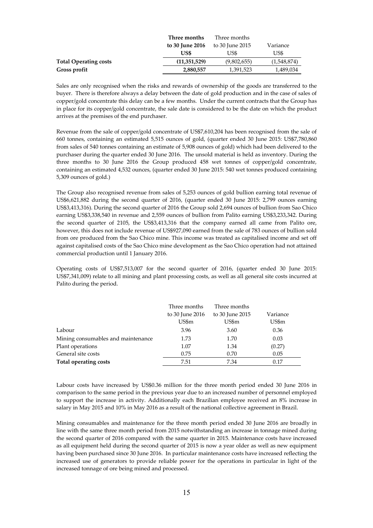|                              | Three months    | Three months    |             |
|------------------------------|-----------------|-----------------|-------------|
|                              | to 30 June 2016 | to 30 June 2015 | Variance    |
|                              | US\$            | US\$            | US\$        |
| <b>Total Operating costs</b> | (11,351,529)    | (9,802,655)     | (1.548.874) |
| Gross profit                 | 2,880,557       | 1,391,523       | 1,489,034   |

Sales are only recognised when the risks and rewards of ownership of the goods are transferred to the buyer. There is therefore always a delay between the date of gold production and in the case of sales of copper/gold concentrate this delay can be a few months. Under the current contracts that the Group has in place for its copper/gold concentrate, the sale date is considered to be the date on which the product arrives at the premises of the end purchaser.

Revenue from the sale of copper/gold concentrate of US\$7,610,204 has been recognised from the sale of 660 tonnes, containing an estimated 5,515 ounces of gold, (quarter ended 30 June 2015: US\$7,780,860 from sales of 540 tonnes containing an estimate of 5,908 ounces of gold) which had been delivered to the purchaser during the quarter ended 30 June 2016. The unsold material is held as inventory. During the three months to 30 June 2016 the Group produced 458 wet tonnes of copper/gold concentrate, containing an estimated 4,532 ounces, (quarter ended 30 June 2015: 540 wet tonnes produced containing 5,309 ounces of gold.)

The Group also recognised revenue from sales of 5,253 ounces of gold bullion earning total revenue of US\$6,621,882 during the second quarter of 2016, (quarter ended 30 June 2015: 2,799 ounces earning US\$3,413,316). During the second quarter of 2016 the Group sold 2,694 ounces of bullion from Sao Chico earning US\$3,338,540 in revenue and 2,559 ounces of bullion from Palito earning US\$3,233,342. During the second quarter of 2105, the US\$3,413,316 that the company earned all came from Palito ore, however, this does not include revenue of US\$927,090 earned from the sale of 783 ounces of bullion sold from ore produced from the Sao Chico mine. This income was treated as capitalised income and set off against capitalised costs of the Sao Chico mine development as the Sao Chico operation had not attained commercial production until 1 January 2016.

Operating costs of US\$7,513,007 for the second quarter of 2016, (quarter ended 30 June 2015: US\$7,341,009) relate to all mining and plant processing costs, as well as all general site costs incurred at Palito during the period.

|                                    | Three months    | Three months    |          |
|------------------------------------|-----------------|-----------------|----------|
|                                    | to 30 June 2016 | to 30 June 2015 | Variance |
|                                    | US\$m           | US\$m           | US\$m    |
| Labour                             | 3.96            | 3.60            | 0.36     |
| Mining consumables and maintenance | 1.73            | 1.70            | 0.03     |
| Plant operations                   | 1.07            | 1.34            | (0.27)   |
| General site costs                 | 0.75            | 0.70            | 0.05     |
| Total operating costs              | 7.51            | 7.34            | 0.17     |

Labour costs have increased by US\$0.36 million for the three month period ended 30 June 2016 in comparison to the same period in the previous year due to an increased number of personnel employed to support the increase in activity. Additionally each Brazilian employee received an 8% increase in salary in May 2015 and 10% in May 2016 as a result of the national collective agreement in Brazil.

Mining consumables and maintenance for the three month period ended 30 June 2016 are broadly in line with the same three month period from 2015 notwithstanding an increase in tonnage mined during the second quarter of 2016 compared with the same quarter in 2015. Maintenance costs have increased as all equipment held during the second quarter of 2015 is now a year older as well as new equipment having been purchased since 30 June 2016. In particular maintenance costs have increased reflecting the increased use of generators to provide reliable power for the operations in particular in light of the increased tonnage of ore being mined and processed.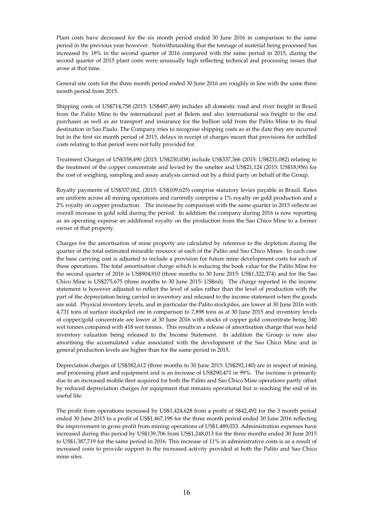Plant costs have decreased for the six month period ended 30 June 2016 in comparison to the same period in the previous year however. Notwithstanding that the tonnage of material being processed has increased by 18% in the second quarter of 2016 compared with the same period in 2015, during the second quarter of 2015 plant costs were unusually high reflecting technical and processing issues that arose at that time.

General site costs for the three month period ended 30 June 2016 are roughly in line with the same three month period from 2015.

Shipping costs of US\$714,758 (2015: US\$487,469) includes all domestic road and river freight in Brazil from the Palito Mine to the international port at Belem and also international sea freight to the end purchaser as well as air transport and insurance for the bullion sold from the Palito Mine to its final destination in Sao Paulo. The Company tries to recognise shipping costs as at the date they are incurred but in the first six month period of 2015, delays in receipt of charges meant that provisions for unbilled costs relating to that period were not fully provided for.

Treatment Charges of US\$358,490 (2015: US\$250,038) include US\$337,366 (2015: US\$231,082) relating to the treatment of the copper concentrate and levied by the smelter and US\$21,124 (2015: US\$18,956) for the cost of weighing, sampling and assay analysis carried out by a third party on behalf of the Group.

Royalty payments of US\$337,062, (2015: US\$109,625) comprise statutory levies payable in Brazil. Rates are uniform across all mining operations and currently comprise a 1% royalty on gold production and a 2% royalty on copper production. The increase by comparison with the same quarter in 2015 reflects an overall increase in gold sold during the period. In addition the company during 2016 is now reporting as an operating expense an additional royalty on the production from the Sao Chico Mine to a former owner of that property.

Charges for the amortisation of mine property are calculated by reference to the depletion during the quarter of the total estimated mineable resource at each of the Palito and Sao Chico Mines. In each case the base carrying cost is adjusted to include a provision for future mine development costs for each of these operations. The total amortisation charge which is reducing the book value for the Palito Mine for the second quarter of 2016 is US\$904,910 (three months to 30 June 2015: US\$1,322,374) and for the Sao Chico Mine is US\$275,675 (three months to 30 June 2015: US\$nil). The charge reported in the income statement is however adjusted to reflect the level of sales rather than the level of production with the part of the depreciation being carried in inventory and released to the income statement when the goods are sold. Physical inventory levels, and in particular the Palito stockpiles, are lower at 30 June 2016 with 4,731 tons of surface stockpiled ore in comparison to 7,898 tons as at 30 June 2015 and inventory levels of copper/gold concentrate are lower at 30 June 2016 with stocks of copper gold concentrate being 340 wet tonnes compared with 418 wet tonnes. This results in a release of amortisation charge that was held inventory valuation being released to the Income Statement. In addition the Group is now also amortising the accumulated value associated with the development of the Sao Chico Mine and in general production levels are higher than for the same period in 2015.

Depreciation charges of US\$582,612 (three months to 30 June 2015: US\$292,140) are in respect of mining and processing plant and equipment and is an increase of US\$290,471 or 99%. The increase is primarily due to an increased mobile fleet acquired for both the Palito and Sao Chico Mine operations partly offset by reduced depreciation charges for equipment that remains operational but is reaching the end of its useful life.

The profit from operations increased by US\$1,424,628 from a profit of S\$42,492 for the 3 month period ended 30 June 2015 to a profit of US\$1,467,198 for the three month period ended 30 June 2016 reflecting the improvement in gross profit from mining operations of US\$1,489,033. Administration expenses have increased during this period by US\$139,706 from US\$1,248,013 for the three months ended 30 June 2015 to US\$1,387,719 for the same period in 2016. This increase of 11% in administrative costs is as a result of increased costs to provide support to the increased activity provided at both the Palito and Sao Chico mine sites.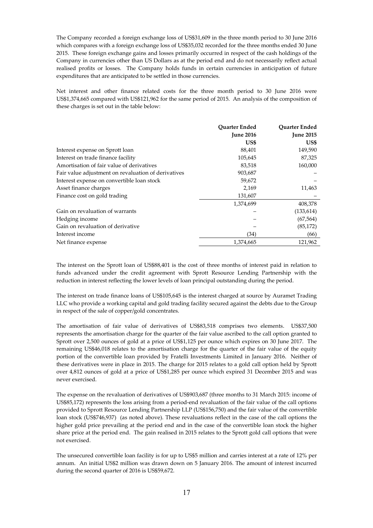The Company recorded a foreign exchange loss of US\$31,609 in the three month period to 30 June 2016 which compares with a foreign exchange loss of US\$35,032 recorded for the three months ended 30 June 2015. These foreign exchange gains and losses primarily occurred in respect of the cash holdings of the Company in currencies other than US Dollars as at the period end and do not necessarily reflect actual realised profits or losses. The Company holds funds in certain currencies in anticipation of future expenditures that are anticipated to be settled in those currencies.

Net interest and other finance related costs for the three month period to 30 June 2016 were US\$1,374,665 compared with US\$121,962 for the same period of 2015. An analysis of the composition of these charges is set out in the table below:

|                                                     | Quarter Ended    | <b>Quarter Ended</b> |
|-----------------------------------------------------|------------------|----------------------|
|                                                     | <b>June 2016</b> | <b>June 2015</b>     |
|                                                     | US\$             | US\$                 |
| Interest expense on Sprott loan                     | 88,401           | 149,590              |
| Interest on trade finance facility                  | 105,645          | 87,325               |
| Amortisation of fair value of derivatives           | 83,518           | 160,000              |
| Fair value adjustment on revaluation of derivatives | 903,687          |                      |
| Interest expense on convertible loan stock          | 59,672           |                      |
| Asset finance charges                               | 2,169            | 11,463               |
| Finance cost on gold trading                        | 131,607          |                      |
|                                                     | 1,374,699        | 408,378              |
| Gain on revaluation of warrants                     |                  | (133, 614)           |
| Hedging income                                      |                  | (67, 564)            |
| Gain on revaluation of derivative                   |                  | (85, 172)            |
| Interest income                                     | (34)             | (66)                 |
| Net finance expense                                 | 1,374,665        | 121,962              |

The interest on the Sprott loan of US\$88,401 is the cost of three months of interest paid in relation to funds advanced under the credit agreement with Sprott Resource Lending Partnership with the reduction in interest reflecting the lower levels of loan principal outstanding during the period.

The interest on trade finance loans of US\$105,645 is the interest charged at source by Auramet Trading LLC who provide a working capital and gold trading facility secured against the debts due to the Group in respect of the sale of copper/gold concentrates.

The amortisation of fair value of derivatives of US\$83,518 comprises two elements. US\$37,500 represents the amortisation charge for the quarter of the fair value ascribed to the call option granted to Sprott over 2,500 ounces of gold at a price of US\$1,125 per ounce which expires on 30 June 2017. The remaining US\$46,018 relates to the amortisation charge for the quarter of the fair value of the equity portion of the convertible loan provided by Fratelli Investments Limited in January 2016. Neither of these derivatives were in place in 2015. The charge for 2015 relates to a gold call option held by Sprott over 4,812 ounces of gold at a price of US\$1,285 per ounce which expired 31 December 2015 and was never exercised.

The expense on the revaluation of derivatives of US\$903,687 (three months to 31 March 2015: income of US\$85,172) represents the loss arising from a period-end revaluation of the fair value of the call options provided to Sprott Resource Lending Partnership LLP (US\$156,750) and the fair value of the convertible loan stock (US\$746,937) (as noted above). These revaluations reflect in the case of the call options the higher gold price prevailing at the period end and in the case of the convertible loan stock the higher share price at the period end. The gain realised in 2015 relates to the Sprott gold call options that were not exercised.

The unsecured convertible loan facility is for up to US\$5 million and carries interest at a rate of 12% per annum. An initial US\$2 million was drawn down on 5 January 2016. The amount of interest incurred during the second quarter of 2016 is US\$59,672.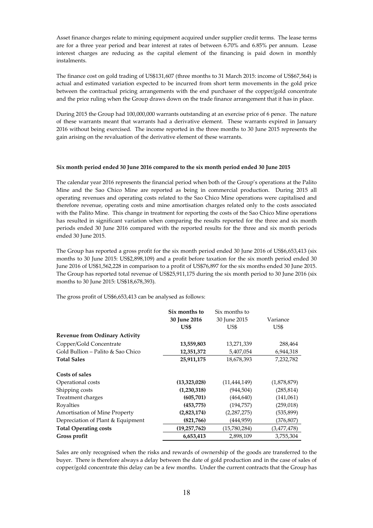Asset finance charges relate to mining equipment acquired under supplier credit terms. The lease terms are for a three year period and bear interest at rates of between 6.70% and 6.85% per annum. Lease interest charges are reducing as the capital element of the financing is paid down in monthly instalments.

The finance cost on gold trading of US\$131,607 (three months to 31 March 2015: income of US\$67,564) is actual and estimated variation expected to be incurred from short term movements in the gold price between the contractual pricing arrangements with the end purchaser of the copper/gold concentrate and the price ruling when the Group draws down on the trade finance arrangement that it has in place.

During 2015 the Group had 100,000,000 warrants outstanding at an exercise price of 6 pence. The nature of these warrants meant that warrants had a derivative element. These warrants expired in January 2016 without being exercised. The income reported in the three months to 30 June 2015 represents the gain arising on the revaluation of the derivative element of these warrants.

## **Six month period ended 30 June 2016 compared to the six month period ended 30 June 2015**

The calendar year 2016 represents the financial period when both of the Group's operations at the Palito Mine and the Sao Chico Mine are reported as being in commercial production. During 2015 all operating revenues and operating costs related to the Sao Chico Mine operations were capitalised and therefore revenue, operating costs and mine amortisation charges related only to the costs associated with the Palito Mine. This change in treatment for reporting the costs of the Sao Chico Mine operations has resulted in significant variation when comparing the results reported for the three and six month periods ended 30 June 2016 compared with the reported results for the three and six month periods ended 30 June 2015.

The Group has reported a gross profit for the six month period ended 30 June 2016 of US\$6,653,413 (six months to 30 June 2015: US\$2,898,109) and a profit before taxation for the six month period ended 30 June 2016 of US\$1,562,228 in comparison to a profit of US\$76,897 for the six months ended 30 June 2015. The Group has reported total revenue of US\$25,911,175 during the six month period to 30 June 2016 (six months to 30 June 2015: US\$18,678,393).

The gross profit of US\$6,653,413 can be analysed as follows:

|                                       | Six months to | Six months to  |             |
|---------------------------------------|---------------|----------------|-------------|
|                                       | 30 June 2016  | 30 June 2015   | Variance    |
|                                       | US\$          | US\$           | US\$        |
| <b>Revenue from Ordinary Activity</b> |               |                |             |
| Copper/Gold Concentrate               | 13,559,803    | 13,271,339     | 288,464     |
| Gold Bullion – Palito & Sao Chico     | 12,351,372    | 5,407,054      | 6,944,318   |
| <b>Total Sales</b>                    | 25,911,175    | 18,678,393     | 7,232,782   |
| Costs of sales                        |               |                |             |
| Operational costs                     | (13,323,028)  | (11, 444, 149) | (1,878,879) |
| Shipping costs                        | (1,230,318)   | (944, 504)     | (285, 814)  |
| Treatment charges                     | (605, 701)    | (464, 640)     | (141,061)   |
| Royalties                             | (453, 775)    | (194, 757)     | (259, 018)  |
| Amortisation of Mine Property         | (2,823,174)   | (2,287,275)    | (535, 899)  |
| Depreciation of Plant & Equipment     | (821,766)     | (444,959)      | (376,807)   |
| <b>Total Operating costs</b>          | (19,257,762)  | (15,780,284)   | (3,477,478) |
| Gross profit                          | 6,653,413     | 2,898,109      | 3,755,304   |

Sales are only recognised when the risks and rewards of ownership of the goods are transferred to the buyer. There is therefore always a delay between the date of gold production and in the case of sales of copper/gold concentrate this delay can be a few months. Under the current contracts that the Group has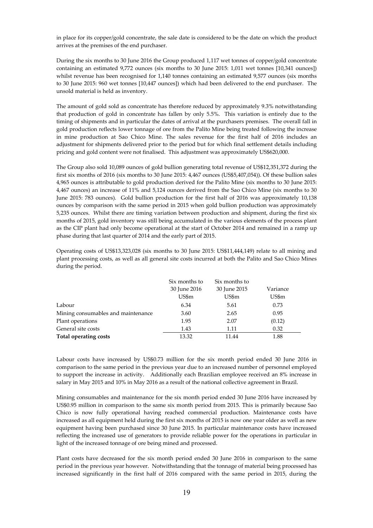in place for its copper/gold concentrate, the sale date is considered to be the date on which the product arrives at the premises of the end purchaser.

During the six months to 30 June 2016 the Group produced 1,117 wet tonnes of copper/gold concentrate containing an estimated 9,772 ounces (six months to 30 June 2015: 1,011 wet tonnes [10,341 ounces]) whilst revenue has been recognised for 1,140 tonnes containing an estimated 9,577 ounces (six months to 30 June 2015: 960 wet tonnes [10,447 ounces]) which had been delivered to the end purchaser. The unsold material is held as inventory.

The amount of gold sold as concentrate has therefore reduced by approximately 9.3% notwithstanding that production of gold in concentrate has fallen by only 5.5%. This variation is entirely due to the timing of shipments and in particular the dates of arrival at the purchasers premises. The overall fall in gold production reflects lower tonnage of ore from the Palito Mine being treated following the increase in mine production at Sao Chico Mine. The sales revenue for the first half of 2016 includes an adjustment for shipments delivered prior to the period but for which final settlement details including pricing and gold content were not finalised. This adjustment was approximately US\$620,000.

The Group also sold 10,089 ounces of gold bullion generating total revenue of US\$12,351,372 during the first six months of 2016 (six months to 30 June 2015: 4,467 ounces (US\$5,407,054)). Of these bullion sales 4,965 ounces is attributable to gold production derived for the Palito Mine (six months to 30 June 2015: 4,467 ounces) an increase of 11% and 5,124 ounces derived from the Sao Chico Mine (six months to 30 June 2015: 783 ounces). Gold bullion production for the first half of 2016 was approximately 10,138 ounces by comparison with the same period in 2015 when gold bullion production was approximately 5,235 ounces. Whilst there are timing variation between production and shipment, during the first six months of 2015, gold inventory was still being accumulated in the various elements of the process plant as the CIP plant had only become operational at the start of October 2014 and remained in a ramp up phase during that last quarter of 2014 and the early part of 2015.

Operating costs of US\$13,323,028 (six months to 30 June 2015: US\$11,444,149) relate to all mining and plant processing costs, as well as all general site costs incurred at both the Palito and Sao Chico Mines during the period.

|                                    | Six months to | Six months to |          |
|------------------------------------|---------------|---------------|----------|
|                                    | 30 June 2016  | 30 June 2015  | Variance |
|                                    | US\$m         | US\$m         | US\$m    |
| Labour                             | 6.34          | 5.61          | 0.73     |
| Mining consumables and maintenance | 3.60          | 2.65          | 0.95     |
| Plant operations                   | 1.95          | 2.07          | (0.12)   |
| General site costs                 | 1.43          | 1.11          | 0.32     |
| Total operating costs              | 13.32         | 11.44         | 1.88     |

Labour costs have increased by US\$0.73 million for the six month period ended 30 June 2016 in comparison to the same period in the previous year due to an increased number of personnel employed to support the increase in activity. Additionally each Brazilian employee received an 8% increase in salary in May 2015 and 10% in May 2016 as a result of the national collective agreement in Brazil.

Mining consumables and maintenance for the six month period ended 30 June 2016 have increased by US\$0.95 million in comparison to the same six month period from 2015. This is primarily because Sao Chico is now fully operational having reached commercial production. Maintenance costs have increased as all equipment held during the first six months of 2015 is now one year older as well as new equipment having been purchased since 30 June 2015. In particular maintenance costs have increased reflecting the increased use of generators to provide reliable power for the operations in particular in light of the increased tonnage of ore being mined and processed.

Plant costs have decreased for the six month period ended 30 June 2016 in comparison to the same period in the previous year however. Notwithstanding that the tonnage of material being processed has increased significantly in the first half of 2016 compared with the same period in 2015, during the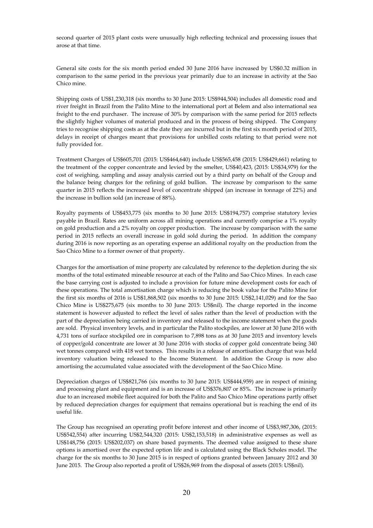second quarter of 2015 plant costs were unusually high reflecting technical and processing issues that arose at that time.

General site costs for the six month period ended 30 June 2016 have increased by US\$0.32 million in comparison to the same period in the previous year primarily due to an increase in activity at the Sao Chico mine.

Shipping costs of US\$1,230,318 (six months to 30 June 2015: US\$944,504) includes all domestic road and river freight in Brazil from the Palito Mine to the international port at Belem and also international sea freight to the end purchaser. The increase of 30% by comparison with the same period for 2015 reflects the slightly higher volumes of material produced and in the process of being shipped. The Company tries to recognise shipping costs as at the date they are incurred but in the first six month period of 2015, delays in receipt of charges meant that provisions for unbilled costs relating to that period were not fully provided for.

Treatment Charges of US\$605,701 (2015: US\$464,640) include US\$565,458 (2015: US\$429,661) relating to the treatment of the copper concentrate and levied by the smelter, US\$40,423, (2015: US\$34,979) for the cost of weighing, sampling and assay analysis carried out by a third party on behalf of the Group and the balance being charges for the refining of gold bullion. The increase by comparison to the same quarter in 2015 reflects the increased level of concentrate shipped (an increase in tonnage of 22%) and the increase in bullion sold (an increase of 88%).

Royalty payments of US\$453,775 (six months to 30 June 2015: US\$194,757) comprise statutory levies payable in Brazil. Rates are uniform across all mining operations and currently comprise a 1% royalty on gold production and a 2% royalty on copper production. The increase by comparison with the same period in 2015 reflects an overall increase in gold sold during the period. In addition the company during 2016 is now reporting as an operating expense an additional royalty on the production from the Sao Chico Mine to a former owner of that property.

Charges for the amortisation of mine property are calculated by reference to the depletion during the six months of the total estimated mineable resource at each of the Palito and Sao Chico Mines. In each case the base carrying cost is adjusted to include a provision for future mine development costs for each of these operations. The total amortisation charge which is reducing the book value for the Palito Mine for the first six months of 2016 is US\$1,868,502 (six months to 30 June 2015: US\$2,141,029) and for the Sao Chico Mine is US\$275,675 (six months to 30 June 2015: US\$nil). The charge reported in the income statement is however adjusted to reflect the level of sales rather than the level of production with the part of the depreciation being carried in inventory and released to the income statement when the goods are sold. Physical inventory levels, and in particular the Palito stockpiles, are lower at 30 June 2016 with 4,731 tons of surface stockpiled ore in comparison to 7,898 tons as at 30 June 2015 and inventory levels of copper/gold concentrate are lower at 30 June 2016 with stocks of copper gold concentrate being 340 wet tonnes compared with 418 wet tonnes. This results in a release of amortisation charge that was held inventory valuation being released to the Income Statement. In addition the Group is now also amortising the accumulated value associated with the development of the Sao Chico Mine.

Depreciation charges of US\$821,766 (six months to 30 June 2015: US\$444,959) are in respect of mining and processing plant and equipment and is an increase of US\$376,807 or 85%. The increase is primarily due to an increased mobile fleet acquired for both the Palito and Sao Chico Mine operations partly offset by reduced depreciation charges for equipment that remains operational but is reaching the end of its useful life.

The Group has recognised an operating profit before interest and other income of US\$3,987,306, (2015: US\$542,554) after incurring US\$2,544,320 (2015: US\$2,153,518) in administrative expenses as well as US\$148,756 (2015: US\$202,037) on share based payments. The deemed value assigned to these share options is amortised over the expected option life and is calculated using the Black Scholes model. The charge for the six months to 30 June 2015 is in respect of options granted between January 2012 and 30 June 2015. The Group also reported a profit of US\$26,969 from the disposal of assets (2015: US\$nil).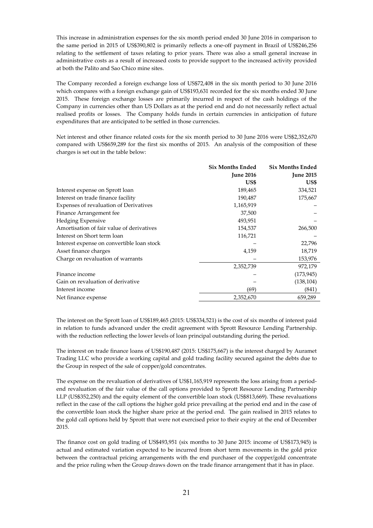This increase in administration expenses for the six month period ended 30 June 2016 in comparison to the same period in 2015 of US\$390,802 is primarily reflects a one-off payment in Brazil of US\$246,256 relating to the settlement of taxes relating to prior years. There was also a small general increase in administrative costs as a result of increased costs to provide support to the increased activity provided at both the Palito and Sao Chico mine sites.

The Company recorded a foreign exchange loss of US\$72,408 in the six month period to 30 June 2016 which compares with a foreign exchange gain of US\$193,631 recorded for the six months ended 30 June 2015. These foreign exchange losses are primarily incurred in respect of the cash holdings of the Company in currencies other than US Dollars as at the period end and do not necessarily reflect actual realised profits or losses. The Company holds funds in certain currencies in anticipation of future expenditures that are anticipated to be settled in those currencies.

Net interest and other finance related costs for the six month period to 30 June 2016 were US\$2,352,670 compared with US\$659,289 for the first six months of 2015. An analysis of the composition of these charges is set out in the table below:

|                                            | <b>Six Months Ended</b> | <b>Six Months Ended</b> |
|--------------------------------------------|-------------------------|-------------------------|
|                                            | <b>June 2016</b>        | <b>June 2015</b>        |
|                                            | US\$                    | US\$                    |
| Interest expense on Sprott loan            | 189,465                 | 334,521                 |
| Interest on trade finance facility         | 190,487                 | 175,667                 |
| Expenses of revaluation of Derivatives     | 1,165,919               |                         |
| Finance Arrangement fee                    | 37,500                  |                         |
| Hedging Expensive                          | 493,951                 |                         |
| Amortisation of fair value of derivatives  | 154,537                 | 266,500                 |
| Interest on Short term loan                | 116,721                 |                         |
| Interest expense on convertible loan stock |                         | 22,796                  |
| Asset finance charges                      | 4,159                   | 18,719                  |
| Charge on revaluation of warrants          |                         | 153,976                 |
|                                            | 2,352,739               | 972,179                 |
| Finance income                             |                         | (173, 945)              |
| Gain on revaluation of derivative          |                         | (138, 104)              |
| Interest income                            | (69)                    | (841)                   |
| Net finance expense                        | 2,352,670               | 659,289                 |

The interest on the Sprott loan of US\$189,465 (2015: US\$334,521) is the cost of six months of interest paid in relation to funds advanced under the credit agreement with Sprott Resource Lending Partnership. with the reduction reflecting the lower levels of loan principal outstanding during the period.

The interest on trade finance loans of US\$190,487 (2015: US\$175,667) is the interest charged by Auramet Trading LLC who provide a working capital and gold trading facility secured against the debts due to the Group in respect of the sale of copper/gold concentrates.

The expense on the revaluation of derivatives of US\$1,165,919 represents the loss arising from a periodend revaluation of the fair value of the call options provided to Sprott Resource Lending Partnership LLP (US\$352,250) and the equity element of the convertible loan stock (US\$813,669). These revaluations reflect in the case of the call options the higher gold price prevailing at the period end and in the case of the convertible loan stock the higher share price at the period end. The gain realised in 2015 relates to the gold call options held by Sprott that were not exercised prior to their expiry at the end of December 2015.

The finance cost on gold trading of US\$493,951 (six months to 30 June 2015: income of US\$173,945) is actual and estimated variation expected to be incurred from short term movements in the gold price between the contractual pricing arrangements with the end purchaser of the copper/gold concentrate and the price ruling when the Group draws down on the trade finance arrangement that it has in place.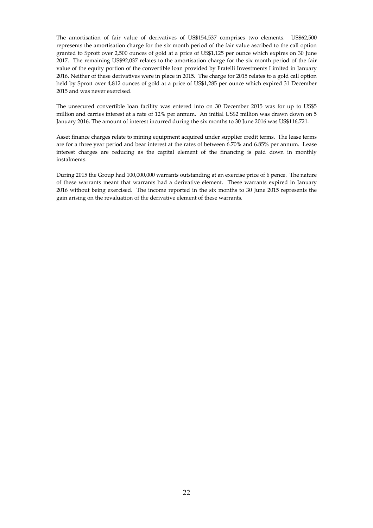The amortisation of fair value of derivatives of US\$154,537 comprises two elements. US\$62,500 represents the amortisation charge for the six month period of the fair value ascribed to the call option granted to Sprott over 2,500 ounces of gold at a price of US\$1,125 per ounce which expires on 30 June 2017. The remaining US\$92,037 relates to the amortisation charge for the six month period of the fair value of the equity portion of the convertible loan provided by Fratelli Investments Limited in January 2016. Neither of these derivatives were in place in 2015. The charge for 2015 relates to a gold call option held by Sprott over 4,812 ounces of gold at a price of US\$1,285 per ounce which expired 31 December 2015 and was never exercised.

The unsecured convertible loan facility was entered into on 30 December 2015 was for up to US\$5 million and carries interest at a rate of 12% per annum. An initial US\$2 million was drawn down on 5 January 2016. The amount of interest incurred during the six months to 30 June 2016 was US\$116,721.

Asset finance charges relate to mining equipment acquired under supplier credit terms. The lease terms are for a three year period and bear interest at the rates of between 6.70% and 6.85% per annum. Lease interest charges are reducing as the capital element of the financing is paid down in monthly instalments.

During 2015 the Group had 100,000,000 warrants outstanding at an exercise price of 6 pence. The nature of these warrants meant that warrants had a derivative element. These warrants expired in January 2016 without being exercised. The income reported in the six months to 30 June 2015 represents the gain arising on the revaluation of the derivative element of these warrants.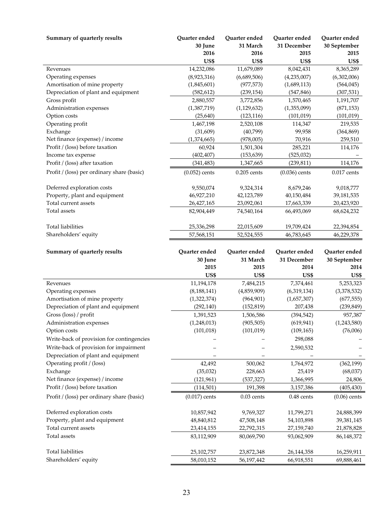| Summary of quarterly results                     | Quarter ended            | Quarter ended            | Quarter ended            | Quarter ended            |
|--------------------------------------------------|--------------------------|--------------------------|--------------------------|--------------------------|
|                                                  | 30 June                  | 31 March                 | 31 December              | 30 September             |
|                                                  | 2016                     | 2016                     | 2015                     | 2015                     |
|                                                  | US\$                     | US\$                     | US\$                     | US\$                     |
| Revenues                                         | 14,232,086               | 11,679,089               | 8,042,431                | 8,365,289                |
| Operating expenses                               | (8,923,316)              | (6,689,506)              | (4,235,007)              | (6,302,006)              |
| Amortisation of mine property                    | (1,845,601)              | (977, 573)               | (1,689,113)              | (564, 045)               |
| Depreciation of plant and equipment              | (582, 612)               | (239, 154)               | (547, 846)               | (307, 531)               |
| Gross profit                                     | 2,880,557                | 3,772,856                | 1,570,465                | 1,191,707                |
| Administration expenses                          | (1,387,719)              | (1, 129, 632)            | (1,355,099)              | (871, 153)               |
| Option costs                                     | (25, 640)                | (123, 116)               | (101, 019)               | (101, 019)               |
| Operating profit                                 | 1,467,198                | 2,520,108                | 114,347                  | 219,535                  |
| Exchange                                         | (31,609)                 | (40,799)                 | 99,958                   | (364, 869)               |
| Net finance (expense) / income                   | (1,374,665)              | (978,005)                | 70,916                   | 259,510                  |
| Profit / (loss) before taxation                  | 60,924                   | 1,501,304                | 285,221                  | 114,176                  |
| Income tax expense                               | (402, 407)               | (153, 639)               | (525, 032)               |                          |
| Profit / (loss) after taxation                   | (341, 483)               | 1,347,665                | (239, 811)               | 114,176                  |
| Profit / (loss) per ordinary share (basic)       | $(0.052)$ cents          | $0.205$ cents            | $(0.036)$ cents          | $0.017$ cents            |
| Deferred exploration costs                       | 9,550,074                | 9,324,314                | 8,679,246                | 9,018,777                |
| Property, plant and equipment                    | 46,927,210               | 42,123,789               | 40,150,484               | 39,181,535               |
| Total current assets                             | 26,427,165               | 23,092,061               | 17,663,339               | 20,423,920               |
| Total assets                                     | 82,904,449               | 74,540,164               | 66,493,069               | 68,624,232               |
| <b>Total liabilities</b>                         | 25,336,298               | 22,015,609               | 19,709,424               | 22,394,854               |
| Shareholders' equity                             | 57,568,151               | 52,524,555               | 46,783,645               | 46,229,378               |
|                                                  |                          |                          |                          |                          |
| Summary of quarterly results                     | Quarter ended            | Quarter ended            | Quarter ended            | Quarter ended            |
|                                                  | 30 June                  | 31 March                 | 31 December              | 30 September             |
|                                                  | 2015                     | 2015                     | 2014                     | 2014                     |
|                                                  | US\$                     | US\$                     | US\$                     | US\$                     |
| Revenues                                         | 11,194,178               | 7,484,215                | 7,374,461                | 5,253,323                |
| Operating expenses                               | (8, 188, 141)            | (4,859,909)              | (6,319,134)              | (3,378,532)              |
| Amortisation of mine property                    | (1,322,374)              | (964, 901)               | (1,657,307)              | (677, 555)               |
| Depreciation of plant and equipment              | (292, 140)               | (152, 819)               | 207,438                  | (239, 849)               |
| Gross (loss) / profit                            | 1,391,523                | 1,506,586                | (394, 542)               | 957,387                  |
| Administration expenses                          | (1,248,013)              | (905, 505)               | (619, 941)               | (1,243,580)              |
| Option costs                                     | (101, 018)               | (101, 019)               | (109, 165)               | (76,006)                 |
| Write-back of provision for contingencies        |                          |                          | 298,088                  |                          |
| Write-back of provision for impairment           |                          |                          | 2,590,532                |                          |
| Depreciation of plant and equipment              |                          |                          |                          |                          |
| Operating profit / (loss)                        | 42,492                   | 500,062                  | 1,764,972                | (362, 199)               |
| Exchange                                         | (35,032)                 | 228,663                  | 25,419                   | (68,037)                 |
| Net finance (expense) / income                   | (121, 961)               | (537, 327)               | 1,366,995                | 24,806                   |
| Profit / (loss) before taxation                  | (114, 501)               | 191,398                  | 3,157,386                | (405, 430)               |
| Profit / (loss) per ordinary share (basic)       | $(0.017)$ cents          | $0.03$ cents             | $0.48$ cents             | $(0.06)$ cents           |
| Deferred exploration costs                       |                          |                          |                          | 24,888,399               |
|                                                  |                          |                          |                          |                          |
|                                                  | 10,857,942               | 9,769,327                | 11,799,271               |                          |
| Property, plant and equipment                    | 48,840,812               | 47,508,148               | 54,103,898               | 39,381,145               |
| Total current assets<br>Total assets             | 23,414,155<br>83,112,909 | 22,792,315<br>80,069,790 | 27,159,740<br>93,062,909 | 21,878,828<br>86,148,372 |
|                                                  |                          |                          |                          |                          |
| <b>Total liabilities</b><br>Shareholders' equity | 25,102,757<br>58,010,152 | 23,872,348<br>56,197,442 | 26,144,358<br>66,918,551 | 16,259,911<br>69,888,461 |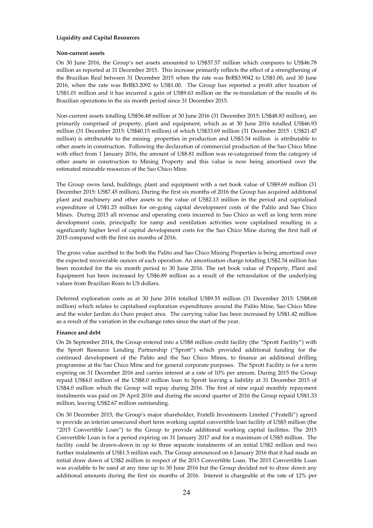# **Liquidity and Capital Resources**

# **Non-current assets**

On 30 June 2016, the Group's net assets amounted to US\$57.57 million which compares to US\$46.78 million as reported at 31 December 2015. This increase primarily reflects the effect of a strengthening of the Brazilian Real between 31 December 2015 when the rate was BrR\$3.9042 to US\$1.00, and 30 June 2016, when the rate was BrR\$3.2092 to US\$1.00. The Group has reported a profit after taxation of US\$1.01 million and it has incurred a gain of US\$9.63 million on the re-translation of the results of its Brazilian operations in the six month period since 31 December 2015.

Non-current assets totalling US\$56.48 million at 30 June 2016 (31 December 2015: US\$48.83 million), are primarily comprised of property, plant and equipment, which as at 30 June 2016 totalled US\$46.93 million (31 December 2015: US\$40.15 million) of which US\$33.69 million (31 December 2015 : US\$21.47 million) is attributable to the mining properties in production and US\$3.54 million is attributable to other assets in construction. Following the declaration of commercial production of the Sao Chico Mine with effect from 1 January 2016, the amount of U\$8.81 million was re-categorised from the category of other assets in construction to Mining Property and this value is now being amortised over the estimated mineable resources of the Sao Chico Mine.

The Group owns land, buildings, plant and equipment with a net book value of US\$9.69 million (31 December 2015: US\$7.45 million). During the first six months of 2016 the Group has acquired additional plant and machinery and other assets to the value of US\$2.13 million in the period and capitalised expenditure of US\$1.25 million for on-going capital development costs of the Palito and Sao Chico Mines. During 2015 all revenue and operating costs incurred in Sao Chico as well as long term mine development costs, principally for ramp and ventilation activities were capitalised resulting in a significantly higher level of capital development costs for the Sao Chico Mine during the first half of 2015 compared with the first six months of 2016.

The gross value ascribed to the both the Palito and Sao Chico Mining Properties is being amortised over the expected recoverable ounces of each operation. An amortisation charge totalling US\$2.54 million has been recorded for the six month period to 30 June 2016. The net book value of Property, Plant and Equipment has been increased by US\$6.89 million as a result of the retranslation of the underlying values from Brazilian Reais to US dollars.

Deferred exploration costs as at 30 June 2016 totalled US\$9.55 million (31 December 2015: US\$8.68 million) which relates to capitalised exploration expenditures around the Palito Mine, Sao Chico Mine and the wider Jardim do Ouro project area. The carrying value has been increased by US\$1.42 million as a result of the variation in the exchange rates since the start of the year.

# **Finance and debt**

On 26 September 2014, the Group entered into a US\$8 million credit facility (the "Sprott Facility") with the Sprott Resource Lending Partnership ("Sprott") which provided additional funding for the continued development of the Palito and the Sao Chico Mines, to finance an additional drilling programme at the Sao Chico Mine and for general corporate purposes. The Sprott Facility is for a term expiring on 31 December 2016 and carries interest at a rate of 10% per annum. During 2015 the Group repaid US\$4.0 million of the US\$8.0 million loan to Sprott leaving a liability at 31 December 2015 of US\$4.0 million which the Group will repay during 2016. The first of nine equal monthly repayment instalments was paid on 29 April 2016 and during the second quarter of 2016 the Group repaid US\$1.33 million, leaving US\$2.67 million outstanding.

On 30 December 2015, the Group's major shareholder, Fratelli Investments Limited ("Fratelli") agreed to provide an interim unsecured short term working capital convertible loan facility of US\$5 million (the "2015 Convertible Loan") to the Group to provide additional working capital facilities. The 2015 Convertible Loan is for a period expiring on 31 January 2017 and for a maximum of US\$5 million. The facility could be drawn-down in up to three separate instalments of an initial US\$2 million and two further instalments of US\$1.5 million each. The Group announced on 6 January 2016 that it had made an initial draw down of US\$2 million in respect of the 2015 Convertible Loan. The 2015 Convertible Loan was available to be used at any time up to 30 June 2016 but the Group decided not to draw down any additional amounts during the first six months of 2016. Interest is chargeable at the rate of 12% per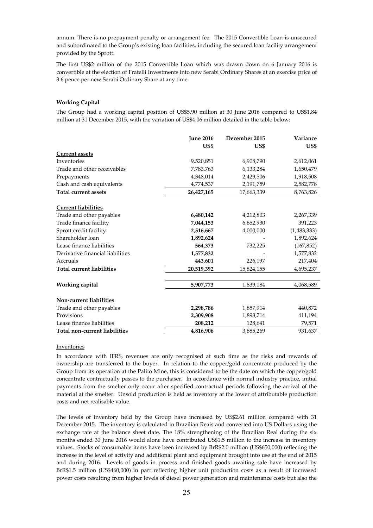annum. There is no prepayment penalty or arrangement fee. The 2015 Convertible Loan is unsecured and subordinated to the Group's existing loan facilities, including the secured loan facility arrangement provided by the Sprott.

The first US\$2 million of the 2015 Convertible Loan which was drawn down on 6 January 2016 is convertible at the election of Fratelli Investments into new Serabi Ordinary Shares at an exercise price of 3.6 pence per new Serabi Ordinary Share at any time.

# **Working Capital**

The Group had a working capital position of US\$5.90 million at 30 June 2016 compared to US\$1.84 million at 31 December 2015, with the variation of US\$4.06 million detailed in the table below:

|                                  | <b>June 2016</b> | December 2015 | Variance    |
|----------------------------------|------------------|---------------|-------------|
|                                  | US\$             | US\$          | US\$        |
| <b>Current assets</b>            |                  |               |             |
| Inventories                      | 9,520,851        | 6,908,790     | 2,612,061   |
| Trade and other receivables      | 7,783,763        | 6,133,284     | 1,650,479   |
| Prepayments                      | 4,348,014        | 2,429,506     | 1,918,508   |
| Cash and cash equivalents        | 4,774,537        | 2,191,759     | 2,582,778   |
| <b>Total current assets</b>      | 26,427,165       | 17,663,339    | 8,763,826   |
| <b>Current liabilities</b>       |                  |               |             |
| Trade and other payables         | 6,480,142        | 4,212,803     | 2,267,339   |
| Trade finance facility           | 7,044,153        | 6,652,930     | 391,223     |
| Sprott credit facility           | 2,516,667        | 4,000,000     | (1,483,333) |
| Shareholder loan                 | 1,892,624        |               | 1,892,624   |
| Lease finance liabilities        | 564,373          | 732,225       | (167, 852)  |
| Derivative financial liabilities | 1,577,832        |               | 1,577,832   |
| Accruals                         | 443,601          | 226,197       | 217,404     |
| <b>Total current liabilities</b> | 20,519,392       | 15,824,155    | 4,695,237   |
| Working capital                  | 5,907,773        | 1,839,184     | 4,068,589   |
| Non-current liabilities          |                  |               |             |
| Trade and other payables         | 2,298,786        | 1,857,914     | 440,872     |
| Provisions                       | 2,309,908        | 1,898,714     | 411,194     |
| Lease finance liabilities        | 208,212          | 128,641       | 79,571      |
| Total non-current liabilities    | 4,816,906        | 3,885,269     | 931,637     |

# Inventories

In accordance with IFRS, revenues are only recognised at such time as the risks and rewards of ownership are transferred to the buyer. In relation to the copper/gold concentrate produced by the Group from its operation at the Palito Mine, this is considered to be the date on which the copper/gold concentrate contractually passes to the purchaser. In accordance with normal industry practice, initial payments from the smelter only occur after specified contractual periods following the arrival of the material at the smelter. Unsold production is held as inventory at the lower of attributable production costs and net realisable value.

The levels of inventory held by the Group have increased by US\$2.61 million compared with 31 December 2015. The inventory is calculated in Brazilian Reais and converted into US Dollars using the exchange rate at the balance sheet date. The 18% strengthening of the Brazilian Real during the six months ended 30 June 2016 would alone have contributed US\$1.5 million to the increase in inventory values. Stocks of consumable items have been increased by BrR\$2.0 million (US\$650,000) reflecting the increase in the level of activity and additional plant and equipment brought into use at the end of 2015 and during 2016. Levels of goods in process and finished goods awaiting sale have increased by BrR\$1.5 million (US\$460,000) in part reflecting higher unit production costs as a result of increased power costs resulting from higher levels of diesel power generation and maintenance costs but also the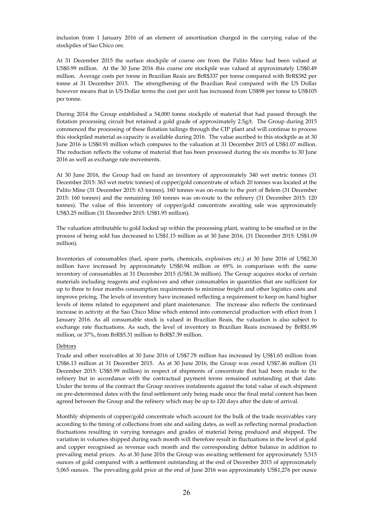inclusion from 1 January 2016 of an element of amortisation charged in the carrying value of the stockpiles of Sao Chico ore.

At 31 December 2015 the surface stockpile of coarse ore from the Palito Mine had been valued at US\$0.99 million. At the 30 June 2016 this coarse ore stockpile was valued at approximately US\$0.49 million. Average costs per tonne in Brazilian Reais are BrR\$337 per tonne compared with BrR\$382 per tonne at 31 December 2015. The strengthening of the Brazilian Real compared with the US Dollar however means that in US Dollar terms the cost per unit has increased from US\$98 per tonne to US\$105 per tonne.

During 2014 the Group established a 54,000 tonne stockpile of material that had passed through the flotation processing circuit but retained a gold grade of approximately 2.5g/t. The Group during 2015 commenced the processing of these flotation tailings through the CIP plant and will continue to process this stockpiled material as capacity is available during 2016. The value ascribed to this stockpile as at 30 June 2016 is US\$0.91 million which compares to the valuation at 31 December 2015 of US\$1.07 million. The reduction reflects the volume of material that has been processed during the six months to 30 June 2016 as well as exchange rate movements.

At 30 June 2016, the Group had on hand an inventory of approximately 340 wet metric tonnes (31 December 2015: 363 wet metric tonnes) of copper/gold concentrate of which 20 tonnes was located at the Palito Mine (31 December 2015: 63 tonnes), 160 tonnes was on-route to the port of Belem (31 December 2015: 160 tonnes) and the remaining 160 tonnes was on-route to the refinery (31 December 2015: 120 tonnes). The value of this inventory of copper/gold concentrate awaiting sale was approximately US\$3.25 million (31 December 2015: US\$1.95 million).

The valuation attributable to gold locked up within the processing plant, waiting to be smelted or in the process of being sold has decreased to US\$1.15 million as at 30 June 2016, (31 December 2015: US\$1.09 million).

Inventories of consumables (fuel, spare parts, chemicals, explosives etc.) at 30 June 2016 of US\$2.30 million have increased by approximately US\$0.94 million or 69% in comparison with the same inventory of consumables at 31 December 2015 (US\$1.36 million). The Group acquires stocks of certain materials including reagents and explosives and other consumables in quantities that are sufficient for up to three to four months consumption requirements to minimise freight and other logistics costs and improve pricing. The levels of inventory have increased reflecting a requirement to keep on hand higher levels of items related to equipment and plant maintenance. The increase also reflects the continued increase in activity at the Sao Chico Mine which entered into commercial production with effect from 1 January 2016. As all consumable stock is valued in Brazilian Reais, the valuation is also subject to exchange rate fluctuations. As such, the level of inventory in Brazilian Reais increased by BrR\$1.99 million, or 37%, from BrR\$5.31 million to BrR\$7.39 million.

## Debtors

Trade and other receivables at 30 June 2016 of US\$7.78 million has increased by US\$1.65 million from US\$6.13 million at 31 December 2015. As at 30 June 2016, the Group was owed US\$7.46 million (31 December 2015: US\$5.99 million) in respect of shipments of concentrate that had been made to the refinery but in accordance with the contractual payment terms remained outstanding at that date. Under the terms of the contract the Group receives instalments against the total value of each shipment on pre-determined dates with the final settlement only being made once the final metal content has been agreed between the Group and the refinery which may be up to 120 days after the date of arrival.

Monthly shipments of copper/gold concentrate which account for the bulk of the trade receivables vary according to the timing of collections from site and sailing dates, as well as reflecting normal production fluctuations resulting in varying tonnages and grades of material being produced and shipped. The variation in volumes shipped during each month will therefore result in fluctuations in the level of gold and copper recognised as revenue each month and the corresponding debtor balance in addition to prevailing metal prices. As at 30 June 2016 the Group was awaiting settlement for approximately 5,515 ounces of gold compared with a settlement outstanding at the end of December 2015 of approximately 5,065 ounces. The prevailing gold price at the end of June 2016 was approximately US\$1,276 per ounce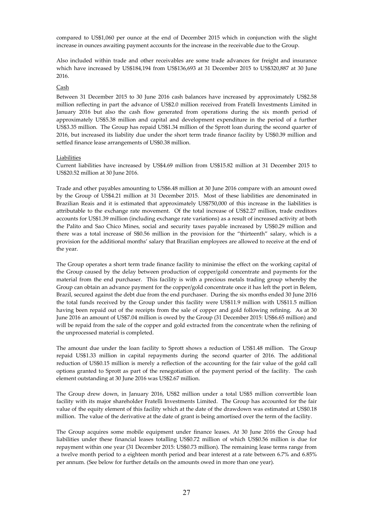compared to US\$1,060 per ounce at the end of December 2015 which in conjunction with the slight increase in ounces awaiting payment accounts for the increase in the receivable due to the Group.

Also included within trade and other receivables are some trade advances for freight and insurance which have increased by US\$184,194 from US\$136,693 at 31 December 2015 to US\$320,887 at 30 June 2016.

# Cash

Between 31 December 2015 to 30 June 2016 cash balances have increased by approximately US\$2.58 million reflecting in part the advance of US\$2.0 million received from Fratelli Investments Limited in January 2016 but also the cash flow generated from operations during the six month period of approximately US\$5.38 million and capital and development expenditure in the period of a further US\$3.35 million. The Group has repaid US\$1.34 million of the Sprott loan during the second quarter of 2016, but increased its liability due under the short term trade finance facility by US\$0.39 million and settled finance lease arrangements of US\$0.38 million.

#### Liabilities

Current liabilities have increased by US\$4.69 million from US\$15.82 million at 31 December 2015 to US\$20.52 million at 30 June 2016.

Trade and other payables amounting to US\$6.48 million at 30 June 2016 compare with an amount owed by the Group of US\$4.21 million at 31 December 2015. Most of these liabilities are denominated in Brazilian Reais and it is estimated that approximately US\$750,000 of this increase in the liabilities is attributable to the exchange rate movement. Of the total increase of US\$2.27 million, trade creditors accounts for US\$1.39 million (including exchange rate variations) as a result of increased activity at both the Palito and Sao Chico Mines, social and security taxes payable increased by US\$0.29 million and there was a total increase of S\$0.56 million in the provision for the "thirteenth" salary, which is a provision for the additional months' salary that Brazilian employees are allowed to receive at the end of the year.

The Group operates a short term trade finance facility to minimise the effect on the working capital of the Group caused by the delay between production of copper/gold concentrate and payments for the material from the end purchaser. This facility is with a precious metals trading group whereby the Group can obtain an advance payment for the copper/gold concentrate once it has left the port in Belem, Brazil, secured against the debt due from the end purchaser. During the six months ended 30 June 2016 the total funds received by the Group under this facility were US\$11.9 million with US\$11.5 million having been repaid out of the receipts from the sale of copper and gold following refining. As at 30 June 2016 an amount of US\$7.04 million is owed by the Group (31 December 2015: US\$6.65 million) and will be repaid from the sale of the copper and gold extracted from the concentrate when the refining of the unprocessed material is completed.

The amount due under the loan facility to Sprott shows a reduction of US\$1.48 million. The Group repaid US\$1.33 million in capital repayments during the second quarter of 2016. The additional reduction of US\$0.15 million is merely a reflection of the accounting for the fair value of the gold call options granted to Sprott as part of the renegotiation of the payment period of the facility. The cash element outstanding at 30 June 2016 was US\$2.67 million.

The Group drew down, in January 2016, US\$2 million under a total US\$5 million convertible loan facility with its major shareholder Fratelli Investments Limited. The Group has accounted for the fair value of the equity element of this facility which at the date of the drawdown was estimated at US\$0.18 million. The value of the derivative at the date of grant is being amortised over the term of the facility.

The Group acquires some mobile equipment under finance leases. At 30 June 2016 the Group had liabilities under these financial leases totalling US\$0.72 million of which US\$0.56 million is due for repayment within one year (31 December 2015: US\$0.73 million). The remaining lease terms range from a twelve month period to a eighteen month period and bear interest at a rate between 6.7% and 6.85% per annum. (See below for further details on the amounts owed in more than one year).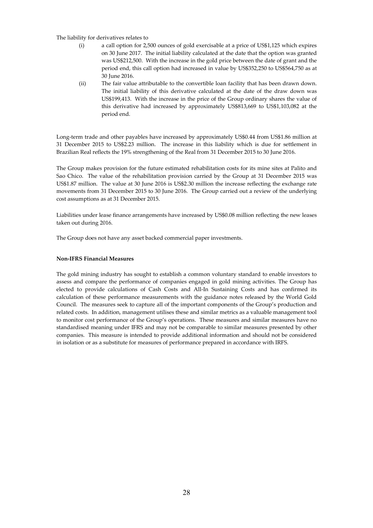The liability for derivatives relates to

- (i) a call option for 2,500 ounces of gold exercisable at a price of US\$1,125 which expires on 30 June 2017. The initial liability calculated at the date that the option was granted was US\$212,500. With the increase in the gold price between the date of grant and the period end, this call option had increased in value by US\$352,250 to US\$564,750 as at 30 June 2016.
- (ii) The fair value attributable to the convertible loan facility that has been drawn down. The initial liability of this derivative calculated at the date of the draw down was US\$199,413. With the increase in the price of the Group ordinary shares the value of this derivative had increased by approximately US\$813,669 to US\$1,103,082 at the period end.

Long-term trade and other payables have increased by approximately US\$0.44 from US\$1.86 million at 31 December 2015 to US\$2.23 million. The increase in this liability which is due for settlement in Brazilian Real reflects the 19% strengthening of the Real from 31 December 2015 to 30 June 2016.

The Group makes provision for the future estimated rehabilitation costs for its mine sites at Palito and Sao Chico. The value of the rehabilitation provision carried by the Group at 31 December 2015 was US\$1.87 million. The value at 30 June 2016 is US\$2.30 million the increase reflecting the exchange rate movements from 31 December 2015 to 30 June 2016. The Group carried out a review of the underlying cost assumptions as at 31 December 2015.

Liabilities under lease finance arrangements have increased by US\$0.08 million reflecting the new leases taken out during 2016.

The Group does not have any asset backed commercial paper investments.

# **Non-IFRS Financial Measures**

The gold mining industry has sought to establish a common voluntary standard to enable investors to assess and compare the performance of companies engaged in gold mining activities. The Group has elected to provide calculations of Cash Costs and All-In Sustaining Costs and has confirmed its calculation of these performance measurements with the guidance notes released by the World Gold Council. The measures seek to capture all of the important components of the Group's production and related costs. In addition, management utilises these and similar metrics as a valuable management tool to monitor cost performance of the Group's operations. These measures and similar measures have no standardised meaning under IFRS and may not be comparable to similar measures presented by other companies. This measure is intended to provide additional information and should not be considered in isolation or as a substitute for measures of performance prepared in accordance with IRFS.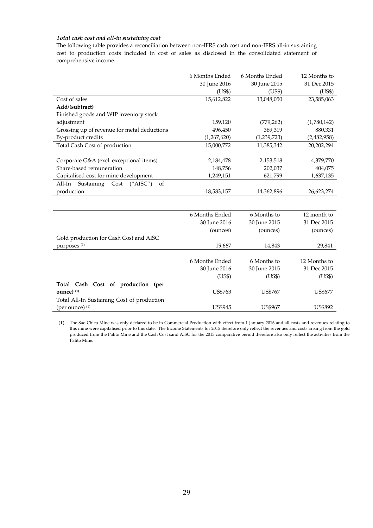# *Total cash cost and all-in sustaining cost*

The following table provides a reconciliation between non-IFRS cash cost and non-IFRS all-in sustaining cost to production costs included in cost of sales as disclosed in the consolidated statement of comprehensive income.

|                                             | 6 Months Ended | 6 Months Ended | 12 Months to |
|---------------------------------------------|----------------|----------------|--------------|
|                                             | 30 June 2016   | 30 June 2015   | 31 Dec 2015  |
|                                             | (US\$)         | (US\$)         | (US\$)       |
| Cost of sales                               | 15,612,822     | 13,048,050     | 23,585,063   |
| Add/(subtract)                              |                |                |              |
| Finished goods and WIP inventory stock      |                |                |              |
| adjustment                                  | 159,120        | (779, 262)     | (1,780,142)  |
| Grossing up of revenue for metal deductions | 496,450        | 369,319        | 880,331      |
| By-product credits                          | (1,267,620)    | (1,239,723)    | (2,482,958)  |
| Total Cash Cost of production               | 15,000,772     | 11,385,342     | 20,202,294   |
|                                             |                |                |              |
| Corporate G&A (excl. exceptional items)     | 2,184,478      | 2,153,518      | 4,379,770    |
| Share-based remuneration                    | 148,756        | 202,037        | 404,075      |
| Capitalised cost for mine development       | 1,249,151      | 621,799        | 1,637,135    |
| ("AISC")<br>of<br>Sustaining Cost<br>All-In |                |                |              |
| production                                  | 18,583,157     | 14,362,896     | 26,623,274   |
|                                             |                |                |              |
|                                             |                |                |              |
|                                             | 6 Months Ended | 6 Months to    | 12 month to  |
|                                             | 30 June 2016   | 30 June 2015   | 31 Dec 2015  |
|                                             | (ounces)       | (ounces)       | (ounces)     |
| Gold production for Cash Cost and AISC      |                |                |              |
| purposes <sup>(1)</sup>                     | 19,667         | 14,843         | 29,841       |
|                                             |                |                |              |
|                                             | 6 Months Ended | 6 Months to    | 12 Months to |
|                                             | 30 June 2016   | 30 June 2015   | 31 Dec 2015  |

|                                            | $00 \mu \text{m}$ | $00 \mu \text{m}$ | $V1$ Dec 2010 |
|--------------------------------------------|-------------------|-------------------|---------------|
|                                            | (US\$)            | 'US\$)            | (US\$)        |
| Total Cash Cost of production (per         |                   |                   |               |
| ounce) $(1)$                               | US\$763           | US\$767           | US\$677       |
| Total All-In Sustaining Cost of production |                   |                   |               |
| (per ounce) $(1)$                          | <b>US\$945</b>    | US\$967           | US\$892       |

(1) The Sao Chico Mine was only declared to be in Commercial Production with effect from 1 January 2016 and all costs and revenues relating to this mine were capitalised prior to this date. The Income Statements for 2015 therefore only reflect the revenues and costs arising from the gold produced from the Palito Mine and the Cash Cost sand AISC for the 2015 comparative period therefore also only reflect the activities from the Palito Mine.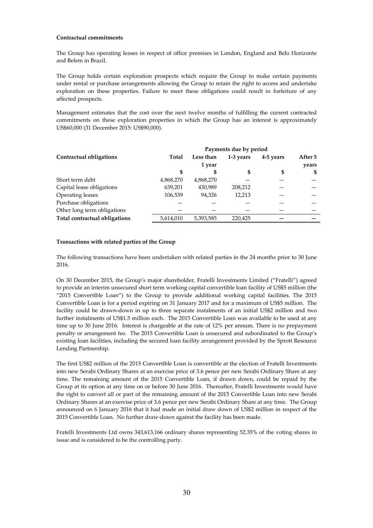# **Contractual commitments**

The Group has operating leases in respect of office premises in London, England and Belo Horizonte and Belem in Brazil.

The Group holds certain exploration prospects which require the Group to make certain payments under rental or purchase arrangements allowing the Group to retain the right to access and undertake exploration on these properties. Failure to meet these obligations could result in forfeiture of any affected prospects.

Management estimates that the cost over the next twelve months of fulfilling the current contracted commitments on these exploration properties in which the Group has an interest is approximately US\$60,000 (31 December 2015: US\$90,000).

|                               | Payments due by period |           |           |           |         |
|-------------------------------|------------------------|-----------|-----------|-----------|---------|
| Contractual obligations       | Total                  | Less than | 1-3 years | 4-5 years | After 5 |
|                               |                        | 1 year    |           |           | years   |
|                               | S                      |           | S         | \$        | -56     |
| Short term debt               | 4,868,270              | 4,868,270 |           |           |         |
| Capital lease obligations     | 639,201                | 430,989   | 208,212   |           |         |
| Operating leases              | 106,539                | 94.326    | 12,213    |           |         |
| Purchase obligations          |                        |           |           |           |         |
| Other long term obligations   |                        |           |           |           |         |
| Total contractual obligations | 5,614,010              | 5,393,585 | 220,425   |           |         |

## **Transactions with related parties of the Group**

The following transactions have been undertaken with related parties in the 24 months prior to 30 June 2016.

On 30 December 2015, the Group's major shareholder, Fratelli Investments Limited ("Fratelli") agreed to provide an interim unsecured short term working capital convertible loan facility of US\$5 million (the "2015 Convertible Loan") to the Group to provide additional working capital facilities. The 2015 Convertible Loan is for a period expiring on 31 January 2017 and for a maximum of US\$5 million. The facility could be drawn-down in up to three separate instalments of an initial US\$2 million and two further instalments of US\$1.5 million each. The 2015 Convertible Loan was available to be used at any time up to 30 June 2016. Interest is chargeable at the rate of 12% per annum. There is no prepayment penalty or arrangement fee. The 2015 Convertible Loan is unsecured and subordinated to the Group's existing loan facilities, including the secured loan facility arrangement provided by the Sprott Resource Lending Partnership.

The first US\$2 million of the 2015 Convertible Loan is convertible at the election of Fratelli Investments into new Serabi Ordinary Shares at an exercise price of 3.6 pence per new Serabi Ordinary Share at any time. The remaining amount of the 2015 Convertible Loan, if drawn down, could be repaid by the Group at its option at any time on or before 30 June 2016. Thereafter, Fratelli Investments would have the right to convert all or part of the remaining amount of the 2015 Convertible Loan into new Serabi Ordinary Shares at an exercise price of 3.6 pence per new Serabi Ordinary Share at any time. The Group announced on 6 January 2016 that it had made an initial draw down of US\$2 million in respect of the 2015 Convertible Loan. No further draw-down against the facility has been made.

Fratelli Investments Ltd owns 343,613,166 ordinary shares representing 52.35% of the voting shares in issue and is considered to be the controlling party.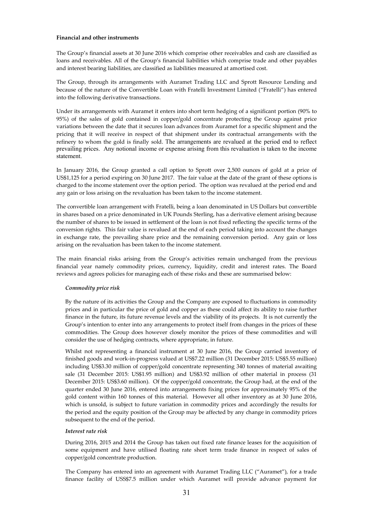# **Financial and other instruments**

The Group's financial assets at 30 June 2016 which comprise other receivables and cash are classified as loans and receivables. All of the Group's financial liabilities which comprise trade and other payables and interest bearing liabilities, are classified as liabilities measured at amortised cost.

The Group, through its arrangements with Auramet Trading LLC and Sprott Resource Lending and because of the nature of the Convertible Loan with Fratelli Investment Limited ("Fratelli") has entered into the following derivative transactions.

Under its arrangements with Auramet it enters into short term hedging of a significant portion (90% to 95%) of the sales of gold contained in copper/gold concentrate protecting the Group against price variations between the date that it secures loan advances from Auramet for a specific shipment and the pricing that it will receive in respect of that shipment under its contractual arrangements with the refinery to whom the gold is finally sold. The arrangements are revalued at the period end to reflect prevailing prices. Any notional income or expense arising from this revaluation is taken to the income statement.

In January 2016, the Group granted a call option to Sprott over 2,500 ounces of gold at a price of US\$1,125 for a period expiring on 30 June 2017. The fair value at the date of the grant of these options is charged to the income statement over the option period. The option was revalued at the period end and any gain or loss arising on the revaluation has been taken to the income statement.

The convertible loan arrangement with Fratelli, being a loan denominated in US Dollars but convertible in shares based on a price denominated in UK Pounds Sterling, has a derivative element arising because the number of shares to be issued in settlement of the loan is not fixed reflecting the specific terms of the conversion rights. This fair value is revalued at the end of each period taking into account the changes in exchange rate, the prevailing share price and the remaining conversion period. Any gain or loss arising on the revaluation has been taken to the income statement.

The main financial risks arising from the Group's activities remain unchanged from the previous financial year namely commodity prices, currency, liquidity, credit and interest rates. The Board reviews and agrees policies for managing each of these risks and these are summarised below:

## *Commodity price risk*

By the nature of its activities the Group and the Company are exposed to fluctuations in commodity prices and in particular the price of gold and copper as these could affect its ability to raise further finance in the future, its future revenue levels and the viability of its projects. It is not currently the Group's intention to enter into any arrangements to protect itself from changes in the prices of these commodities. The Group does however closely monitor the prices of these commodities and will consider the use of hedging contracts, where appropriate, in future.

Whilst not representing a financial instrument at 30 June 2016, the Group carried inventory of finished goods and work-in-progress valued at US\$7.22 million (31 December 2015: US\$5.55 million) including US\$3.30 million of copper/gold concentrate representing 340 tonnes of material awaiting sale (31 December 2015: US\$1.95 million) and US\$3.92 million of other material in process (31 December 2015: US\$3.60 million). Of the copper/gold concentrate, the Group had, at the end of the quarter ended 30 June 2016, entered into arrangements fixing prices for approximately 95% of the gold content within 160 tonnes of this material. However all other inventory as at 30 June 2016, which is unsold, is subject to future variation in commodity prices and accordingly the results for the period and the equity position of the Group may be affected by any change in commodity prices subsequent to the end of the period.

# *Interest rate risk*

During 2016, 2015 and 2014 the Group has taken out fixed rate finance leases for the acquisition of some equipment and have utilised floating rate short term trade finance in respect of sales of copper/gold concentrate production.

The Company has entered into an agreement with Auramet Trading LLC ("Auramet"), for a trade finance facility of USS\$7.5 million under which Auramet will provide advance payment for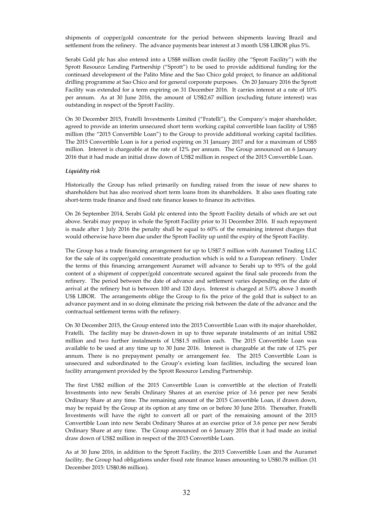shipments of copper/gold concentrate for the period between shipments leaving Brazil and settlement from the refinery. The advance payments bear interest at 3 month US\$ LIBOR plus 5%.

Serabi Gold plc has also entered into a US\$8 million credit facility (the "Sprott Facility") with the Sprott Resource Lending Partnership ("Sprott") to be used to provide additional funding for the continued development of the Palito Mine and the Sao Chico gold project, to finance an additional drilling programme at Sao Chico and for general corporate purposes. On 20 January 2016 the Sprott Facility was extended for a term expiring on 31 December 2016. It carries interest at a rate of 10% per annum. As at 30 June 2016, the amount of US\$2.67 million (excluding future interest) was outstanding in respect of the Sprott Facility.

On 30 December 2015, Fratelli Investments Limited ("Fratelli"), the Company's major shareholder, agreed to provide an interim unsecured short term working capital convertible loan facility of US\$5 million (the "2015 Convertible Loan") to the Group to provide additional working capital facilities. The 2015 Convertible Loan is for a period expiring on 31 January 2017 and for a maximum of US\$5 million. Interest is chargeable at the rate of 12% per annum. The Group announced on 6 January 2016 that it had made an initial draw down of US\$2 million in respect of the 2015 Convertible Loan.

## *Liquidity risk*

Historically the Group has relied primarily on funding raised from the issue of new shares to shareholders but has also received short term loans from its shareholders. It also uses floating rate short-term trade finance and fixed rate finance leases to finance its activities.

On 26 September 2014, Serabi Gold plc entered into the Sprott Facility details of which are set out above. Serabi may prepay in whole the Sprott Facility prior to 31 December 2016. If such repayment is made after 1 July 2016 the penalty shall be equal to 60% of the remaining interest charges that would otherwise have been due under the Sprott Facility up until the expiry of the Sprott Facility.

The Group has a trade financing arrangement for up to US\$7.5 million with Auramet Trading LLC for the sale of its copper/gold concentrate production which is sold to a European refinery. Under the terms of this financing arrangement Auramet will advance to Serabi up to 95% of the gold content of a shipment of copper/gold concentrate secured against the final sale proceeds from the refinery. The period between the date of advance and settlement varies depending on the date of arrival at the refinery but is between 100 and 120 days. Interest is charged at 5.0% above 3 month US\$ LIBOR. The arrangements oblige the Group to fix the price of the gold that is subject to an advance payment and in so doing eliminate the pricing risk between the date of the advance and the contractual settlement terms with the refinery.

On 30 December 2015, the Group entered into the 2015 Convertible Loan with its major shareholder, Fratelli. The facility may be drawn-down in up to three separate instalments of an initial US\$2 million and two further instalments of US\$1.5 million each. The 2015 Convertible Loan was available to be used at any time up to 30 June 2016. Interest is chargeable at the rate of 12% per annum. There is no prepayment penalty or arrangement fee. The 2015 Convertible Loan is unsecured and subordinated to the Group's existing loan facilities, including the secured loan facility arrangement provided by the Sprott Resource Lending Partnership.

The first US\$2 million of the 2015 Convertible Loan is convertible at the election of Fratelli Investments into new Serabi Ordinary Shares at an exercise price of 3.6 pence per new Serabi Ordinary Share at any time. The remaining amount of the 2015 Convertible Loan, if drawn down, may be repaid by the Group at its option at any time on or before 30 June 2016. Thereafter, Fratelli Investments will have the right to convert all or part of the remaining amount of the 2015 Convertible Loan into new Serabi Ordinary Shares at an exercise price of 3.6 pence per new Serabi Ordinary Share at any time. The Group announced on 6 January 2016 that it had made an initial draw down of US\$2 million in respect of the 2015 Convertible Loan.

As at 30 June 2016, in addition to the Sprott Facility, the 2015 Convertible Loan and the Auramet facility, the Group had obligations under fixed rate finance leases amounting to US\$0.78 million (31 December 2015: US\$0.86 million).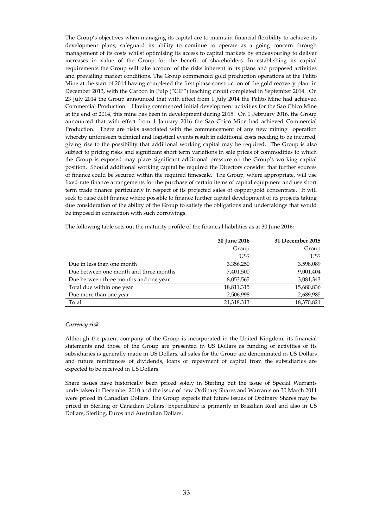The Group's objectives when managing its capital are to maintain financial flexibility to achieve its development plans, safeguard its ability to continue to operate as a going concern through management of its costs whilst optimising its access to capital markets by endeavouring to deliver increases in value of the Group for the benefit of shareholders. In establishing its capital requirements the Group will take account of the risks inherent in its plans and proposed activities and prevailing market conditions. The Group commenced gold production operations at the Palito Mine at the start of 2014 having completed the first phase construction of the gold recovery plant in December 2013, with the Carbon in Pulp ("CIP") leaching circuit completed in September 2014. On 23 July 2014 the Group announced that with effect from 1 July 2014 the Palito Mine had achieved Commercial Production. Having commenced initial development activities for the Sao Chico Mine at the end of 2014, this mine has been in development during 2015. On 1 February 2016, the Group announced that with effect from 1 January 2016 the Sao Chico Mine had achieved Commercial Production. There are risks associated with the commencement of any new mining operation whereby unforeseen technical and logistical events result in additional costs needing to be incurred, giving rise to the possibility that additional working capital may be required. The Group is also subject to pricing risks and significant short term variations in sale prices of commodities to which the Group is exposed may place significant additional pressure on the Group's working capital position. Should additional working capital be required the Directors consider that further sources of finance could be secured within the required timescale. The Group, where appropriate, will use fixed rate finance arrangements for the purchase of certain items of capital equipment and use short term trade finance particularly in respect of its projected sales of copper/gold concentrate. It will seek to raise debt finance where possible to finance further capital development of its projects taking due consideration of the ability of the Group to satisfy the obligations and undertakings that would be imposed in connection with such borrowings.

The following table sets out the maturity profile of the financial liabilities as at 30 June 2016:

|                                        | 30 June 2016 | 31 December 2015 |
|----------------------------------------|--------------|------------------|
|                                        | Group        | Group            |
|                                        | US\$         | US\$             |
| Due in less than one month             | 3,356,250    | 3,598,089        |
| Due between one month and three months | 7,401,500    | 9,001,404        |
| Due between three months and one year  | 8,053,565    | 3,081,343        |
| Total due within one year              | 18,811,315   | 15,680,836       |
| Due more than one year                 | 2,506,998    | 2,689,985        |
| Total                                  | 21,318,313   | 18,370,821       |

#### *Currency risk*

Although the parent company of the Group is incorporated in the United Kingdom, its financial statements and those of the Group are presented in US Dollars as funding of activities of its subsidiaries is generally made in US Dollars, all sales for the Group are denominated in US Dollars and future remittances of dividends, loans or repayment of capital from the subsidiaries are expected to be received in US Dollars.

Share issues have historically been priced solely in Sterling but the issue of Special Warrants undertaken in December 2010 and the issue of new Ordinary Shares and Warrants on 30 March 2011 were priced in Canadian Dollars. The Group expects that future issues of Ordinary Shares may be priced in Sterling or Canadian Dollars. Expenditure is primarily in Brazilian Real and also in US Dollars, Sterling, Euros and Australian Dollars.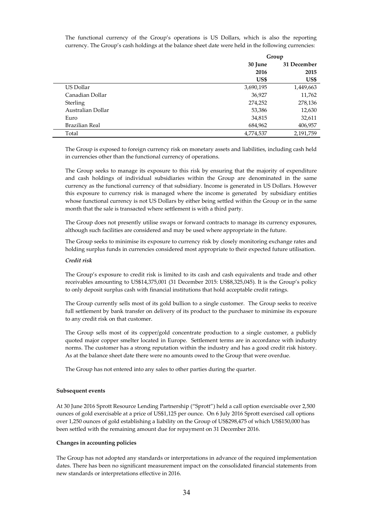The functional currency of the Group's operations is US Dollars, which is also the reporting currency. The Group's cash holdings at the balance sheet date were held in the following currencies:

|                   | Group     |             |
|-------------------|-----------|-------------|
|                   | 30 June   | 31 December |
|                   | 2016      | 2015        |
|                   | US\$      | US\$        |
| US Dollar         | 3,690,195 | 1,449,663   |
| Canadian Dollar   | 36,927    | 11,762      |
| Sterling          | 274,252   | 278,136     |
| Australian Dollar | 53,386    | 12,630      |
| Euro              | 34,815    | 32,611      |
| Brazilian Real    | 684,962   | 406,957     |
| Total             | 4,774,537 | 2,191,759   |

The Group is exposed to foreign currency risk on monetary assets and liabilities, including cash held in currencies other than the functional currency of operations.

The Group seeks to manage its exposure to this risk by ensuring that the majority of expenditure and cash holdings of individual subsidiaries within the Group are denominated in the same currency as the functional currency of that subsidiary. Income is generated in US Dollars. However this exposure to currency risk is managed where the income is generated by subsidiary entities whose functional currency is not US Dollars by either being settled within the Group or in the same month that the sale is transacted where settlement is with a third party.

The Group does not presently utilise swaps or forward contracts to manage its currency exposures, although such facilities are considered and may be used where appropriate in the future.

The Group seeks to minimise its exposure to currency risk by closely monitoring exchange rates and holding surplus funds in currencies considered most appropriate to their expected future utilisation.

#### *Credit risk*

The Group's exposure to credit risk is limited to its cash and cash equivalents and trade and other receivables amounting to US\$14,375,001 (31 December 2015: US\$8,325,045). It is the Group's policy to only deposit surplus cash with financial institutions that hold acceptable credit ratings.

The Group currently sells most of its gold bullion to a single customer. The Group seeks to receive full settlement by bank transfer on delivery of its product to the purchaser to minimise its exposure to any credit risk on that customer.

The Group sells most of its copper/gold concentrate production to a single customer, a publicly quoted major copper smelter located in Europe. Settlement terms are in accordance with industry norms. The customer has a strong reputation within the industry and has a good credit risk history. As at the balance sheet date there were no amounts owed to the Group that were overdue.

The Group has not entered into any sales to other parties during the quarter.

#### **Subsequent events**

At 30 June 2016 Sprott Resource Lending Partnership ("Sprott") held a call option exercisable over 2,500 ounces of gold exercisable at a price of US\$1,125 per ounce. On 6 July 2016 Sprott exercised call options over 1,250 ounces of gold establishing a liability on the Group of US\$298,475 of which US\$150,000 has been settled with the remaining amount due for repayment on 31 December 2016.

# **Changes in accounting policies**

The Group has not adopted any standards or interpretations in advance of the required implementation dates. There has been no significant measurement impact on the consolidated financial statements from new standards or interpretations effective in 2016.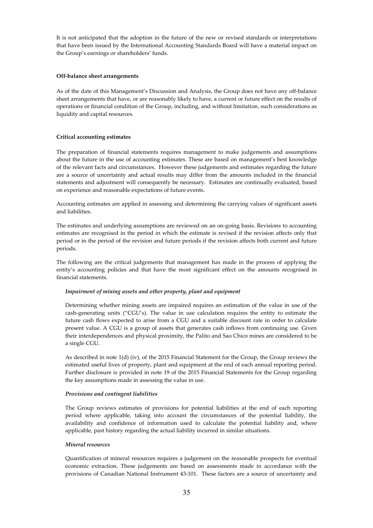It is not anticipated that the adoption in the future of the new or revised standards or interpretations that have been issued by the International Accounting Standards Board will have a material impact on the Group's earnings or shareholders' funds.

# **Off-balance sheet arrangements**

As of the date of this Management's Discussion and Analysis, the Group does not have any off-balance sheet arrangements that have, or are reasonably likely to have, a current or future effect on the results of operations or financial condition of the Group, including, and without limitation, such considerations as liquidity and capital resources.

# **Critical accounting estimates**

The preparation of financial statements requires management to make judgements and assumptions about the future in the use of accounting estimates. These are based on management's best knowledge of the relevant facts and circumstances. However these judgements and estimates regarding the future are a source of uncertainty and actual results may differ from the amounts included in the financial statements and adjustment will consequently be necessary. Estimates are continually evaluated, based on experience and reasonable expectations of future events.

Accounting estimates are applied in assessing and determining the carrying values of significant assets and liabilities.

The estimates and underlying assumptions are reviewed on an on-going basis. Revisions to accounting estimates are recognised in the period in which the estimate is revised if the revision affects only that period or in the period of the revision and future periods if the revision affects both current and future periods.

The following are the critical judgements that management has made in the process of applying the entity's accounting policies and that have the most significant effect on the amounts recognised in financial statements.

## *Impairment of mining assets and other property, plant and equipment*

Determining whether mining assets are impaired requires an estimation of the value in use of the cash-generating units ("CGU's). The value in use calculation requires the entity to estimate the future cash flows expected to arise from a CGU and a suitable discount rate in order to calculate present value. A CGU is a group of assets that generates cash inflows from continuing use. Given their interdependences and physical proximity, the Palito and Sao Chico mines are considered to be a single CGU.

As described in note 1(d) (iv), of the 2015 Financial Statement for the Group, the Group reviews the estimated useful lives of property, plant and equipment at the end of each annual reporting period. Further disclosure is provided in note 19 of the 2015 Financial Statements for the Group regarding the key assumptions made in assessing the value in use.

## *Provisions and contingent liabilities*

The Group reviews estimates of provisions for potential liabilities at the end of each reporting period where applicable, taking into account the circumstances of the potential liability, the availability and confidence of information used to calculate the potential liability and, where applicable, past history regarding the actual liability incurred in similar situations.

## *Mineral resources*

Quantification of mineral resources requires a judgement on the reasonable prospects for eventual economic extraction. These judgements are based on assessments made in accordance with the provisions of Canadian National Instrument 43-101. These factors are a source of uncertainty and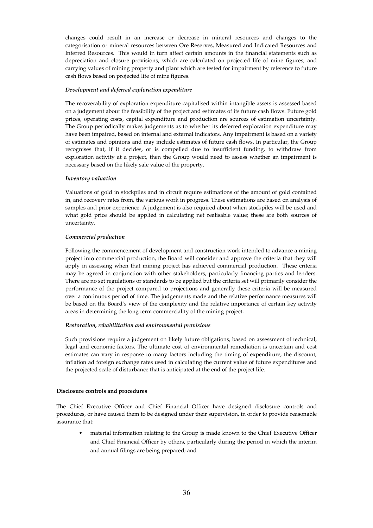changes could result in an increase or decrease in mineral resources and changes to the categorisation or mineral resources between Ore Reserves, Measured and Indicated Resources and Inferred Resources. This would in turn affect certain amounts in the financial statements such as depreciation and closure provisions, which are calculated on projected life of mine figures, and carrying values of mining property and plant which are tested for impairment by reference to future cash flows based on projected life of mine figures.

## *Development and deferred exploration expenditure*

The recoverability of exploration expenditure capitalised within intangible assets is assessed based on a judgement about the feasibility of the project and estimates of its future cash flows. Future gold prices, operating costs, capital expenditure and production are sources of estimation uncertainty. The Group periodically makes judgements as to whether its deferred exploration expenditure may have been impaired, based on internal and external indicators. Any impairment is based on a variety of estimates and opinions and may include estimates of future cash flows. In particular, the Group recognises that, if it decides, or is compelled due to insufficient funding, to withdraw from exploration activity at a project, then the Group would need to assess whether an impairment is necessary based on the likely sale value of the property.

## *Inventory valuation*

Valuations of gold in stockpiles and in circuit require estimations of the amount of gold contained in, and recovery rates from, the various work in progress. These estimations are based on analysis of samples and prior experience. A judgement is also required about when stockpiles will be used and what gold price should be applied in calculating net realisable value; these are both sources of uncertainty.

#### *Commercial production*

Following the commencement of development and construction work intended to advance a mining project into commercial production, the Board will consider and approve the criteria that they will apply in assessing when that mining project has achieved commercial production. These criteria may be agreed in conjunction with other stakeholders, particularly financing parties and lenders. There are no set regulations or standards to be applied but the criteria set will primarily consider the performance of the project compared to projections and generally these criteria will be measured over a continuous period of time. The judgements made and the relative performance measures will be based on the Board's view of the complexity and the relative importance of certain key activity areas in determining the long term commerciality of the mining project.

## *Restoration, rehabilitation and environmental provisions*

Such provisions require a judgement on likely future obligations, based on assessment of technical, legal and economic factors. The ultimate cost of environmental remediation is uncertain and cost estimates can vary in response to many factors including the timing of expenditure, the discount, inflation ad foreign exchange rates used in calculating the current value of future expenditures and the projected scale of disturbance that is anticipated at the end of the project life.

#### **Disclosure controls and procedures**

The Chief Executive Officer and Chief Financial Officer have designed disclosure controls and procedures, or have caused them to be designed under their supervision, in order to provide reasonable assurance that:

• material information relating to the Group is made known to the Chief Executive Officer and Chief Financial Officer by others, particularly during the period in which the interim and annual filings are being prepared; and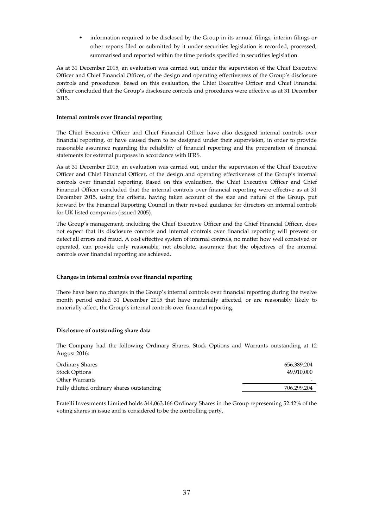• information required to be disclosed by the Group in its annual filings, interim filings or other reports filed or submitted by it under securities legislation is recorded, processed, summarised and reported within the time periods specified in securities legislation.

As at 31 December 2015, an evaluation was carried out, under the supervision of the Chief Executive Officer and Chief Financial Officer, of the design and operating effectiveness of the Group's disclosure controls and procedures. Based on this evaluation, the Chief Executive Officer and Chief Financial Officer concluded that the Group's disclosure controls and procedures were effective as at 31 December 2015.

# **Internal controls over financial reporting**

The Chief Executive Officer and Chief Financial Officer have also designed internal controls over financial reporting, or have caused them to be designed under their supervision, in order to provide reasonable assurance regarding the reliability of financial reporting and the preparation of financial statements for external purposes in accordance with IFRS.

As at 31 December 2015, an evaluation was carried out, under the supervision of the Chief Executive Officer and Chief Financial Officer, of the design and operating effectiveness of the Group's internal controls over financial reporting. Based on this evaluation, the Chief Executive Officer and Chief Financial Officer concluded that the internal controls over financial reporting were effective as at 31 December 2015, using the criteria, having taken account of the size and nature of the Group, put forward by the Financial Reporting Council in their revised guidance for directors on internal controls for UK listed companies (issued 2005).

The Group's management, including the Chief Executive Officer and the Chief Financial Officer, does not expect that its disclosure controls and internal controls over financial reporting will prevent or detect all errors and fraud. A cost effective system of internal controls, no matter how well conceived or operated, can provide only reasonable, not absolute, assurance that the objectives of the internal controls over financial reporting are achieved.

# **Changes in internal controls over financial reporting**

There have been no changes in the Group's internal controls over financial reporting during the twelve month period ended 31 December 2015 that have materially affected, or are reasonably likely to materially affect, the Group's internal controls over financial reporting.

## **Disclosure of outstanding share data**

The Company had the following Ordinary Shares, Stock Options and Warrants outstanding at 12 August 2016:

| 656.389.204 |
|-------------|
| 49.910.000  |
|             |
| 706,299,204 |
|             |

Fratelli Investments Limited holds 344,063,166 Ordinary Shares in the Group representing 52.42% of the voting shares in issue and is considered to be the controlling party.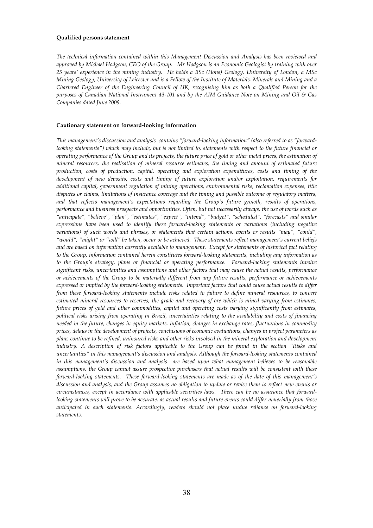#### **Qualified persons statement**

*The technical information contained within this Management Discussion and Analysis has been reviewed and approved by Michael Hodgson, CEO of the Group. Mr Hodgson is an Economic Geologist by training with over 25 years' experience in the mining industry. He holds a BSc (Hons) Geology, University of London, a MSc Mining Geology, University of Leicester and is a Fellow of the Institute of Materials, Minerals and Mining and a Chartered Engineer of the Engineering Council of UK, recognising him as both a Qualified Person for the purposes of Canadian National Instrument 43-101 and by the AIM Guidance Note on Mining and Oil & Gas Companies dated June 2009.* 

### **Cautionary statement on forward-looking information**

*This management's discussion and analysis contains "forward-looking information" (also referred to as "forwardlooking statements") which may include, but is not limited to, statements with respect to the future financial or operating performance of the Group and its projects, the future price of gold or other metal prices, the estimation of mineral resources, the realisation of mineral resource estimates, the timing and amount of estimated future production, costs of production, capital, operating and exploration expenditures, costs and timing of the development of new deposits, costs and timing of future exploration and/or exploitation, requirements for additional capital, government regulation of mining operations, environmental risks, reclamation expenses, title disputes or claims, limitations of insurance coverage and the timing and possible outcome of regulatory matters, and that reflects management's expectations regarding the Group's future growth, results of operations, performance and business prospects and opportunities. Often, but not necessarily always, the use of words such as "anticipate", "believe", "plan", "estimates", "expect", "intend", "budget", "scheduled", "forecasts" and similar expressions have been used to identify these forward-looking statements or variations (including negative variations) of such words and phrases, or statements that certain actions, events or results "may", "could", "would", "might" or "will" be taken, occur or be achieved. These statements reflect management's current beliefs and are based on information currently available to management. Except for statements of historical fact relating to the Group, information contained herein constitutes forward-looking statements, including any information as to the Group's strategy, plans or financial or operating performance. Forward-looking statements involve significant risks, uncertainties and assumptions and other factors that may cause the actual results, performance or achievements of the Group to be materially different from any future results, performance or achievements expressed or implied by the forward-looking statements. Important factors that could cause actual results to differ from these forward-looking statements include risks related to failure to define mineral resources, to convert estimated mineral resources to reserves, the grade and recovery of ore which is mined varying from estimates, future prices of gold and other commodities, capital and operating costs varying significantly from estimates, political risks arising from operating in Brazil, uncertainties relating to the availability and costs of financing needed in the future, changes in equity markets, inflation, changes in exchange rates, fluctuations in commodity prices, delays in the development of projects, conclusions of economic evaluations, changes in project parameters as plans continue to be refined, uninsured risks and other risks involved in the mineral exploration and development industry. A description of risk factors applicable to the Group can be found in the section "Risks and uncertainties" in this management's discussion and analysis. Although the forward-looking statements contained in this management's discussion and analysis are based upon what management believes to be reasonable assumptions, the Group cannot assure prospective purchasers that actual results will be consistent with these forward-looking statements. These forward-looking statements are made as of the date of this management's discussion and analysis, and the Group assumes no obligation to update or revise them to reflect new events or circumstances, except in accordance with applicable securities laws. There can be no assurance that forwardlooking statements will prove to be accurate, as actual results and future events could differ materially from those anticipated in such statements. Accordingly, readers should not place undue reliance on forward-looking statements.*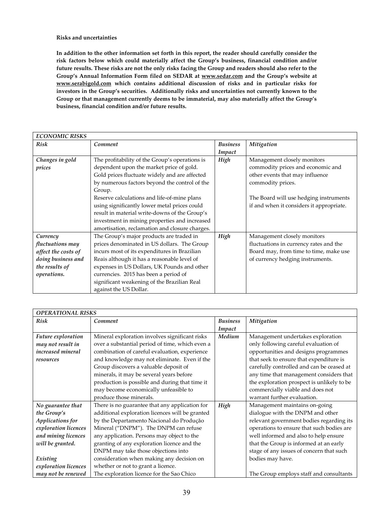**Risks and uncertainties** 

**In addition to the other information set forth in this report, the reader should carefully consider the risk factors below which could materially affect the Group's business, financial condition and/or future results. These risks are not the only risks facing the Group and readers should also refer to the Group's Annual Information Form filed on SEDAR at www.sedar.com and the Group's website at www.serabigold.com which contains additional discussion of risks and in particular risks for investors in the Group's securities. Additionally risks and uncertainties not currently known to the Group or that management currently deems to be immaterial, may also materially affect the Group's business, financial condition and/or future results.** 

| <b>ECONOMIC RISKS</b> |                                                |                 |                                          |
|-----------------------|------------------------------------------------|-----------------|------------------------------------------|
| Risk                  | Comment                                        | <b>Business</b> | Mitigation                               |
|                       |                                                | Impact          |                                          |
| Changes in gold       | The profitability of the Group's operations is | High            | Management closely monitors              |
| prices                | dependent upon the market price of gold.       |                 | commodity prices and economic and        |
|                       | Gold prices fluctuate widely and are affected  |                 | other events that may influence          |
|                       | by numerous factors beyond the control of the  |                 | commodity prices.                        |
|                       | Group.                                         |                 |                                          |
|                       | Reserve calculations and life-of-mine plans    |                 | The Board will use hedging instruments   |
|                       | using significantly lower metal prices could   |                 | if and when it considers it appropriate. |
|                       | result in material write-downs of the Group's  |                 |                                          |
|                       | investment in mining properties and increased  |                 |                                          |
|                       | amortisation, reclamation and closure charges. |                 |                                          |
| Currency              | The Group's major products are traded in       | High            | Management closely monitors              |
| fluctuations may      | prices denominated in US dollars. The Group    |                 | fluctuations in currency rates and the   |
| affect the costs of   | incurs most of its expenditures in Brazilian   |                 | Board may, from time to time, make use   |
| doing business and    | Reais although it has a reasonable level of    |                 | of currency hedging instruments.         |
| the results of        | expenses in US Dollars, UK Pounds and other    |                 |                                          |
| operations.           | currencies. 2015 has been a period of          |                 |                                          |
|                       | significant weakening of the Brazilian Real    |                 |                                          |
|                       | against the US Dollar.                         |                 |                                          |

| <b>OPERATIONAL RISKS</b> |                                                 |                 |                                            |  |
|--------------------------|-------------------------------------------------|-----------------|--------------------------------------------|--|
| <b>Risk</b>              | Comment                                         | <b>Business</b> | Mitigation                                 |  |
|                          |                                                 | Impact          |                                            |  |
| Future exploration       | Mineral exploration involves significant risks  | Medium          | Management undertakes exploration          |  |
| may not result in        | over a substantial period of time, which even a |                 | only following careful evaluation of       |  |
| increased mineral        | combination of careful evaluation, experience   |                 | opportunities and designs programmes       |  |
| resources                | and knowledge may not eliminate. Even if the    |                 | that seek to ensure that expenditure is    |  |
|                          | Group discovers a valuable deposit of           |                 | carefully controlled and can be ceased at  |  |
|                          | minerals, it may be several years before        |                 | any time that management considers that    |  |
|                          | production is possible and during that time it  |                 | the exploration prospect is unlikely to be |  |
|                          | may become economically unfeasible to           |                 | commercially viable and does not           |  |
|                          | produce those minerals.                         |                 | warrant further evaluation.                |  |
| No guarantee that        | There is no guarantee that any application for  | High            | Management maintains on-going              |  |
| the Group's              | additional exploration licences will be granted |                 | dialogue with the DNPM and other           |  |
| Applications for         | by the Departamento Nacional do Produção        |                 | relevant government bodies regarding its   |  |
| exploration licences     | Mineral ("DNPM"). The DNPM can refuse           |                 | operations to ensure that such bodies are  |  |
| and mining licences      | any application. Persons may object to the      |                 | well informed and also to help ensure      |  |
| will be granted.         | granting of any exploration licence and the     |                 | that the Group is informed at an early     |  |
|                          | DNPM may take those objections into             |                 | stage of any issues of concern that such   |  |
| Existing                 | consideration when making any decision on       |                 | bodies may have.                           |  |
| exploration licences     | whether or not to grant a licence.              |                 |                                            |  |
| may not be renewed       | The exploration licence for the Sao Chico       |                 | The Group employs staff and consultants    |  |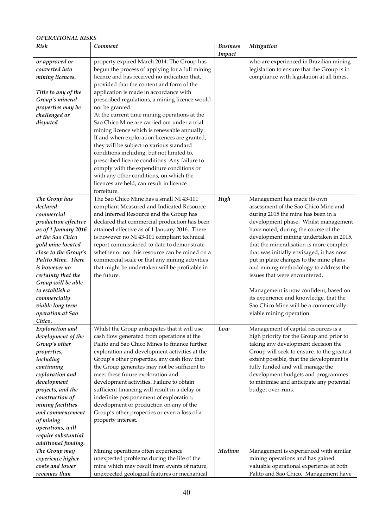| <b>OPERATIONAL RISKS</b>                                                                                                                                                                                                                                                                                                        |                                                                                                                                                                                                                                                                                                                                                                                                                                                                                                                                                                                               |                           |                                                                                                                                                                                                                                                                                                                                                                                                                                                                                                                                                                                                        |
|---------------------------------------------------------------------------------------------------------------------------------------------------------------------------------------------------------------------------------------------------------------------------------------------------------------------------------|-----------------------------------------------------------------------------------------------------------------------------------------------------------------------------------------------------------------------------------------------------------------------------------------------------------------------------------------------------------------------------------------------------------------------------------------------------------------------------------------------------------------------------------------------------------------------------------------------|---------------------------|--------------------------------------------------------------------------------------------------------------------------------------------------------------------------------------------------------------------------------------------------------------------------------------------------------------------------------------------------------------------------------------------------------------------------------------------------------------------------------------------------------------------------------------------------------------------------------------------------------|
| <b>Risk</b>                                                                                                                                                                                                                                                                                                                     | Comment                                                                                                                                                                                                                                                                                                                                                                                                                                                                                                                                                                                       | <b>Business</b><br>Impact | Mitigation                                                                                                                                                                                                                                                                                                                                                                                                                                                                                                                                                                                             |
| or approved or<br>converted into<br>mining licences.                                                                                                                                                                                                                                                                            | property expired March 2014. The Group has<br>begun the process of applying for a full mining<br>licence and has received no indication that,<br>provided that the content and form of the                                                                                                                                                                                                                                                                                                                                                                                                    |                           | who are experienced in Brazilian mining<br>legislation to ensure that the Group is in<br>compliance with legislation at all times.                                                                                                                                                                                                                                                                                                                                                                                                                                                                     |
| Title to any of the<br>Group's mineral<br>properties may be<br>challenged or<br>disputed                                                                                                                                                                                                                                        | application is made in accordance with<br>prescribed regulations, a mining licence would<br>not be granted.<br>At the current time mining operations at the<br>Sao Chico Mine are carried out under a trial<br>mining licence which is renewable annually.<br>If and when exploration licences are granted,<br>they will be subject to various standard<br>conditions including, but not limited to,<br>prescribed licence conditions. Any failure to<br>comply with the expenditure conditions or<br>with any other conditions, on which the<br>licences are held, can result in licence     |                           |                                                                                                                                                                                                                                                                                                                                                                                                                                                                                                                                                                                                        |
| The Group has<br>declared<br>commercial<br>production effective<br>as of 1 January 2016<br>at the Sao Chico<br>gold mine located<br>close to the Group's<br>Palito Mine. There<br>is however no<br>certainty that the<br>Group will be able<br>to establish a<br>commercially<br>viable long term<br>operation at Sao<br>Chico. | forfeiture.<br>The Sao Chico Mine has a small NI 43-101<br>compliant Measured and Indicated Resource<br>and Inferred Resource and the Group has<br>declared that commercial production has been<br>attained effective as of 1 January 2016. There<br>is however no NI 43-101 compliant technical<br>report commissioned to date to demonstrate<br>whether or not this resource can be mined on a<br>commercial scale or that any mining activities<br>that might be undertaken will be profitable in<br>the future.                                                                           | High                      | Management has made its own<br>assessment of the Sao Chico Mine and<br>during 2015 the mine has been in a<br>development phase. Whilst management<br>have noted, during the course of the<br>development mining undertaken in 2015,<br>that the mineralisation is more complex<br>that was initially envisaged, it has now<br>put in place changes to the mine plans<br>and mining methodology to address the<br>issues that were encountered.<br>Management is now confident, based on<br>its experience and knowledge, that the<br>Sao Chico Mine will be a commercially<br>viable mining operation. |
| Exploration and<br>development of the<br>Group's other<br>properties,<br>including<br>continuing<br>exploration and<br>development<br>projects, and the<br>construction of<br>mining facilities<br>and commencement<br>of mining<br>operations, will<br>require substantial<br>additional funding.                              | Whilst the Group anticipates that it will use<br>cash flow generated from operations at the<br>Palito and Sao Chico Mines to finance further<br>exploration and development activities at the<br>Group's other properties, any cash flow that<br>the Group generates may not be sufficient to<br>meet these future exploration and<br>development activities. Failure to obtain<br>sufficient financing will result in a delay or<br>indefinite postponement of exploration,<br>development or production on any of the<br>Group's other properties or even a loss of a<br>property interest. | Low                       | Management of capital resources is a<br>high priority for the Group and prior to<br>taking any development decision the<br>Group will seek to ensure, to the greatest<br>extent possible, that the development is<br>fully funded and will manage the<br>development budgets and programmes<br>to minimise and anticipate any potential<br>budget over-runs.                                                                                                                                                                                                                                           |
| The Group may<br>experience higher<br>costs and lower<br>revenues than                                                                                                                                                                                                                                                          | Mining operations often experience<br>unexpected problems during the life of the<br>mine which may result from events of nature,<br>unexpected geological features or mechanical                                                                                                                                                                                                                                                                                                                                                                                                              | Medium                    | Management is experienced with similar<br>mining operations and has gained<br>valuable operational experience at both<br>Palito and Sao Chico. Management have                                                                                                                                                                                                                                                                                                                                                                                                                                         |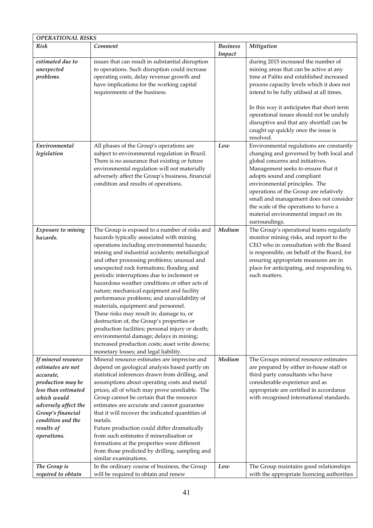| <b>OPERATIONAL RISKS</b>                                                                                                                                                                                        |                                                                                                                                                                                                                                                                                                                                                                                                                                                                                                                                                                                                                                                                                                                                                                                                           |                           |                                                                                                                                                                                                                                                                                                                                                                                                                    |
|-----------------------------------------------------------------------------------------------------------------------------------------------------------------------------------------------------------------|-----------------------------------------------------------------------------------------------------------------------------------------------------------------------------------------------------------------------------------------------------------------------------------------------------------------------------------------------------------------------------------------------------------------------------------------------------------------------------------------------------------------------------------------------------------------------------------------------------------------------------------------------------------------------------------------------------------------------------------------------------------------------------------------------------------|---------------------------|--------------------------------------------------------------------------------------------------------------------------------------------------------------------------------------------------------------------------------------------------------------------------------------------------------------------------------------------------------------------------------------------------------------------|
| Risk                                                                                                                                                                                                            | Comment                                                                                                                                                                                                                                                                                                                                                                                                                                                                                                                                                                                                                                                                                                                                                                                                   | <b>Business</b><br>Impact | Mitigation                                                                                                                                                                                                                                                                                                                                                                                                         |
| estimated due to<br>unexpected<br>problems.                                                                                                                                                                     | issues that can result in substantial disruption<br>to operations. Such disruption could increase<br>operating costs, delay revenue growth and<br>have implications for the working capital<br>requirements of the business.                                                                                                                                                                                                                                                                                                                                                                                                                                                                                                                                                                              |                           | during 2015 increased the number of<br>mining areas that can be active at any<br>time at Palito and established increased<br>process capacity levels which it does not<br>intend to be fully utilised at all times.<br>In this way it anticipates that short term<br>operational issues should not be unduly<br>disruptive and that any shortfall can be<br>caught up quickly once the issue is<br>resolved.       |
| Environmental<br>legislation                                                                                                                                                                                    | All phases of the Group's operations are<br>subject to environmental regulation in Brazil.<br>There is no assurance that existing or future<br>environmental regulation will not materially<br>adversely affect the Group's business, financial<br>condition and results of operations.                                                                                                                                                                                                                                                                                                                                                                                                                                                                                                                   | Low                       | Environmental regulations are constantly<br>changing and governed by both local and<br>global concerns and initiatives.<br>Management seeks to ensure that it<br>adopts sound and compliant<br>environmental principles. The<br>operations of the Group are relatively<br>small and management does not consider<br>the scale of the operations to have a<br>material environmental impact on its<br>surroundings. |
| Exposure to mining<br>hazards.                                                                                                                                                                                  | The Group is exposed to a number of risks and<br>hazards typically associated with mining<br>operations including environmental hazards;<br>mining and industrial accidents; metallurgical<br>and other processing problems; unusual and<br>unexpected rock formations; flooding and<br>periodic interruptions due to inclement or<br>hazardous weather conditions or other acts of<br>nature; mechanical equipment and facility<br>performance problems; and unavailability of<br>materials, equipment and personnel.<br>These risks may result in: damage to, or<br>destruction of, the Group's properties or<br>production facilities; personal injury or death;<br>environmental damage; delays in mining;<br>increased production costs; asset write downs;<br>monetary losses; and legal liability. | Medium                    | The Group's operational teams regularly<br>monitor mining risks, and report to the<br>CEO who in consultation with the Board<br>is responsible, on behalf of the Board, for<br>ensuring appropriate measures are in<br>place for anticipating, and responding to,<br>such matters.                                                                                                                                 |
| If mineral resource<br>estimates are not<br>accurate,<br>production may be<br>less than estimated<br>which would<br>adversely affect the<br>Group's financial<br>condition and the<br>results of<br>operations. | Mineral resource estimates are imprecise and<br>depend on geological analysis based partly on<br>statistical inferences drawn from drilling, and<br>assumptions about operating costs and metal<br>prices, all of which may prove unreliable. The<br>Group cannot be certain that the resource<br>estimates are accurate and cannot guarantee<br>that it will recover the indicated quantities of<br>metals.<br>Future production could differ dramatically<br>from such estimates if mineralisation or<br>formations at the properties were different<br>from those predicted by drilling, sampling and<br>similar examinations.                                                                                                                                                                         | Medium                    | The Groups mineral resource estimates<br>are prepared by either in-house staff or<br>third party consultants who have<br>considerable experience and as<br>appropriate are certified in accordance<br>with recognised international standards.                                                                                                                                                                     |
| The Group is<br>required to obtain                                                                                                                                                                              | In the ordinary course of business, the Group<br>will be required to obtain and renew                                                                                                                                                                                                                                                                                                                                                                                                                                                                                                                                                                                                                                                                                                                     | Low                       | The Group maintains good relationships<br>with the appropriate licencing authorities                                                                                                                                                                                                                                                                                                                               |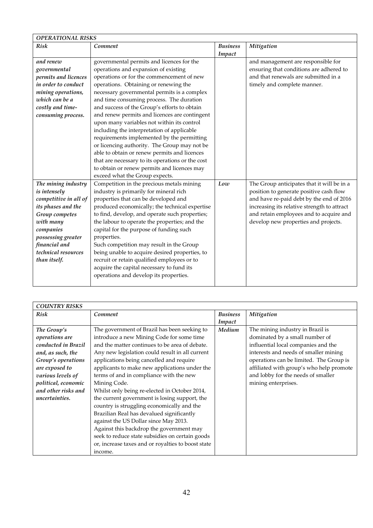| <b>OPERATIONAL RISKS</b> |                                                  |                 |                                             |  |  |
|--------------------------|--------------------------------------------------|-----------------|---------------------------------------------|--|--|
| Risk                     | Comment                                          | <b>Business</b> | Mitigation                                  |  |  |
|                          |                                                  | Impact          |                                             |  |  |
| and renew                | governmental permits and licences for the        |                 | and management are responsible for          |  |  |
| governmental             | operations and expansion of existing             |                 | ensuring that conditions are adhered to     |  |  |
| permits and licences     | operations or for the commencement of new        |                 | and that renewals are submitted in a        |  |  |
| in order to conduct      | operations. Obtaining or renewing the            |                 | timely and complete manner.                 |  |  |
| mining operations,       | necessary governmental permits is a complex      |                 |                                             |  |  |
| which can be a           | and time consuming process. The duration         |                 |                                             |  |  |
| costly and time-         | and success of the Group's efforts to obtain     |                 |                                             |  |  |
| consuming process.       | and renew permits and licences are contingent    |                 |                                             |  |  |
|                          | upon many variables not within its control       |                 |                                             |  |  |
|                          | including the interpretation of applicable       |                 |                                             |  |  |
|                          | requirements implemented by the permitting       |                 |                                             |  |  |
|                          | or licencing authority. The Group may not be     |                 |                                             |  |  |
|                          | able to obtain or renew permits and licences     |                 |                                             |  |  |
|                          | that are necessary to its operations or the cost |                 |                                             |  |  |
|                          | to obtain or renew permits and licences may      |                 |                                             |  |  |
|                          | exceed what the Group expects.                   |                 |                                             |  |  |
| The mining industry      | Competition in the precious metals mining        | Low             | The Group anticipates that it will be in a  |  |  |
| is intensely             | industry is primarily for mineral rich           |                 | position to generate positive cash flow     |  |  |
| competitive in all of    | properties that can be developed and             |                 | and have re-paid debt by the end of 2016    |  |  |
| its phases and the       | produced economically; the technical expertise   |                 | increasing its relative strength to attract |  |  |
| Group competes           | to find, develop, and operate such properties;   |                 | and retain employees and to acquire and     |  |  |
| with many                | the labour to operate the properties; and the    |                 | develop new properties and projects.        |  |  |
| companies                | capital for the purpose of funding such          |                 |                                             |  |  |
| possessing greater       | properties.                                      |                 |                                             |  |  |
| financial and            | Such competition may result in the Group         |                 |                                             |  |  |
| technical resources      | being unable to acquire desired properties, to   |                 |                                             |  |  |
| than itself.             | recruit or retain qualified employees or to      |                 |                                             |  |  |
|                          | acquire the capital necessary to fund its        |                 |                                             |  |  |
|                          | operations and develop its properties.           |                 |                                             |  |  |
|                          |                                                  |                 |                                             |  |  |

| <b>COUNTRY RISKS</b> |                                                    |                 |                                          |  |  |  |
|----------------------|----------------------------------------------------|-----------------|------------------------------------------|--|--|--|
| Risk                 | Comment                                            | <b>Business</b> | Mitigation                               |  |  |  |
|                      |                                                    | Impact          |                                          |  |  |  |
| The Group's          | The government of Brazil has been seeking to       | Medium          | The mining industry in Brazil is         |  |  |  |
| operations are       | introduce a new Mining Code for some time          |                 | dominated by a small number of           |  |  |  |
| conducted in Brazil  | and the matter continues to be area of debate.     |                 | influential local companies and the      |  |  |  |
| and, as such, the    | Any new legislation could result in all current    |                 | interests and needs of smaller mining    |  |  |  |
| Group's operations   | applications being cancelled and require           |                 | operations can be limited. The Group is  |  |  |  |
| are exposed to       | applicants to make new applications under the      |                 | affiliated with group's who help promote |  |  |  |
| various levels of    | terms of and in compliance with the new            |                 | and lobby for the needs of smaller       |  |  |  |
| political, economic  | Mining Code.                                       |                 | mining enterprises.                      |  |  |  |
| and other risks and  | Whilst only being re-elected in October 2014,      |                 |                                          |  |  |  |
| uncertainties.       | the current government is losing support, the      |                 |                                          |  |  |  |
|                      | country is struggling economically and the         |                 |                                          |  |  |  |
|                      | Brazilian Real has devalued significantly          |                 |                                          |  |  |  |
|                      | against the US Dollar since May 2013.              |                 |                                          |  |  |  |
|                      | Against this backdrop the government may           |                 |                                          |  |  |  |
|                      | seek to reduce state subsidies on certain goods    |                 |                                          |  |  |  |
|                      | or, increase taxes and or royalties to boost state |                 |                                          |  |  |  |
|                      | income.                                            |                 |                                          |  |  |  |